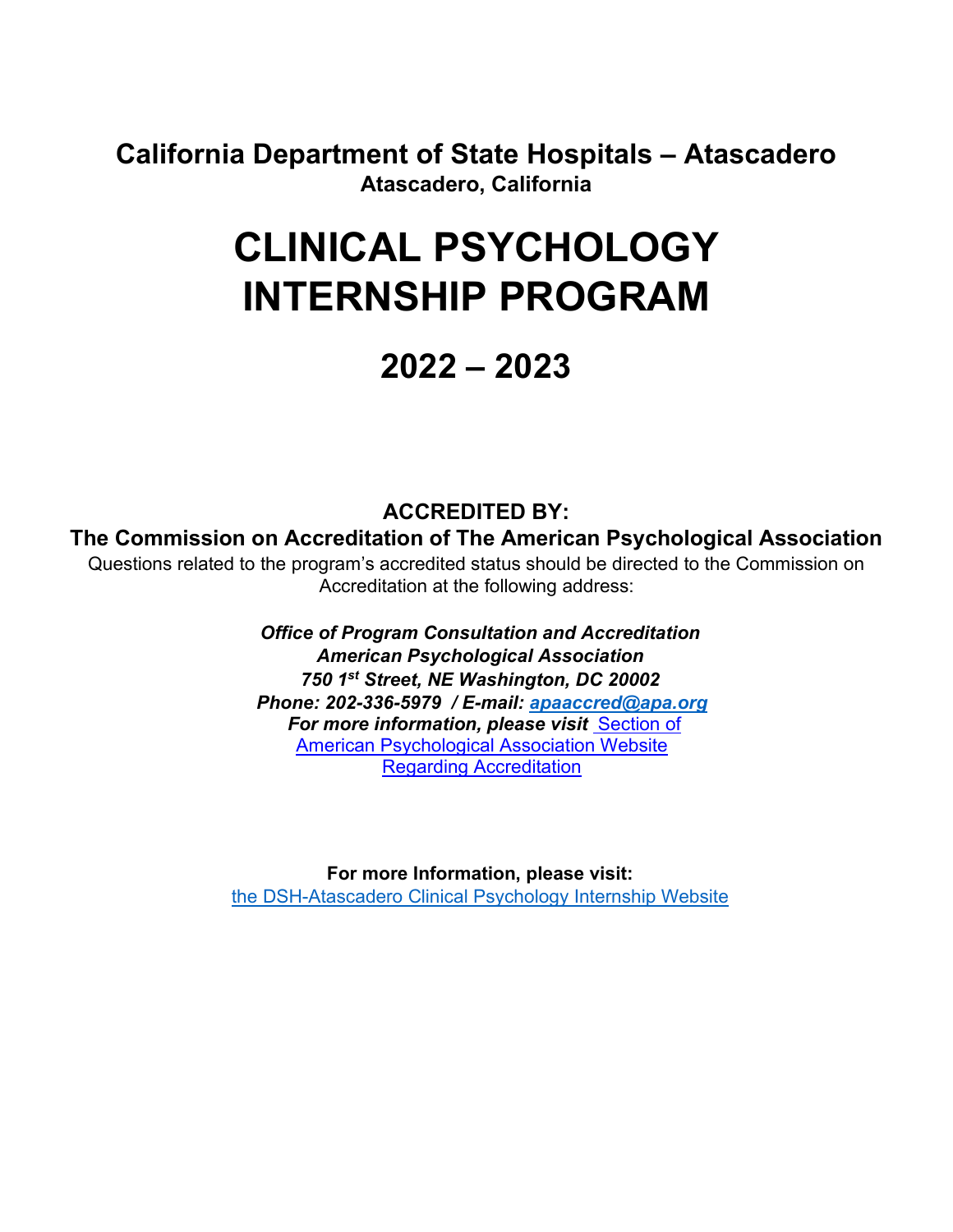**California Department of State Hospitals – Atascadero Atascadero, California**

# **CLINICAL PSYCHOLOGY INTERNSHIP PROGRAM**

# **2022 – 2023**

# **ACCREDITED BY:**

#### **The Commission on Accreditation of The American Psychological Association**

Questions related to the program's accredited status should be directed to the Commission on Accreditation at the following address:

> *Office of Program Consultation and Accreditation American Psychological Association 750 1st Street, NE Washington, DC 20002 Phone: 202-336-5979 / E-mail: [apaaccred@apa.org](MailTo:apaaccred@apa.org)* apaaccred@apa.org *For more information, please visit* Section of <u>American Psychological Association Website</u> Regarding Accreditation

**For more Information, please visit:**  [the DSH-Atascadero Clinical Psychology Internship Website](https://www.dsh.ca.gov/Atascadero/Internships/Clinical_Psychology_Internship.html)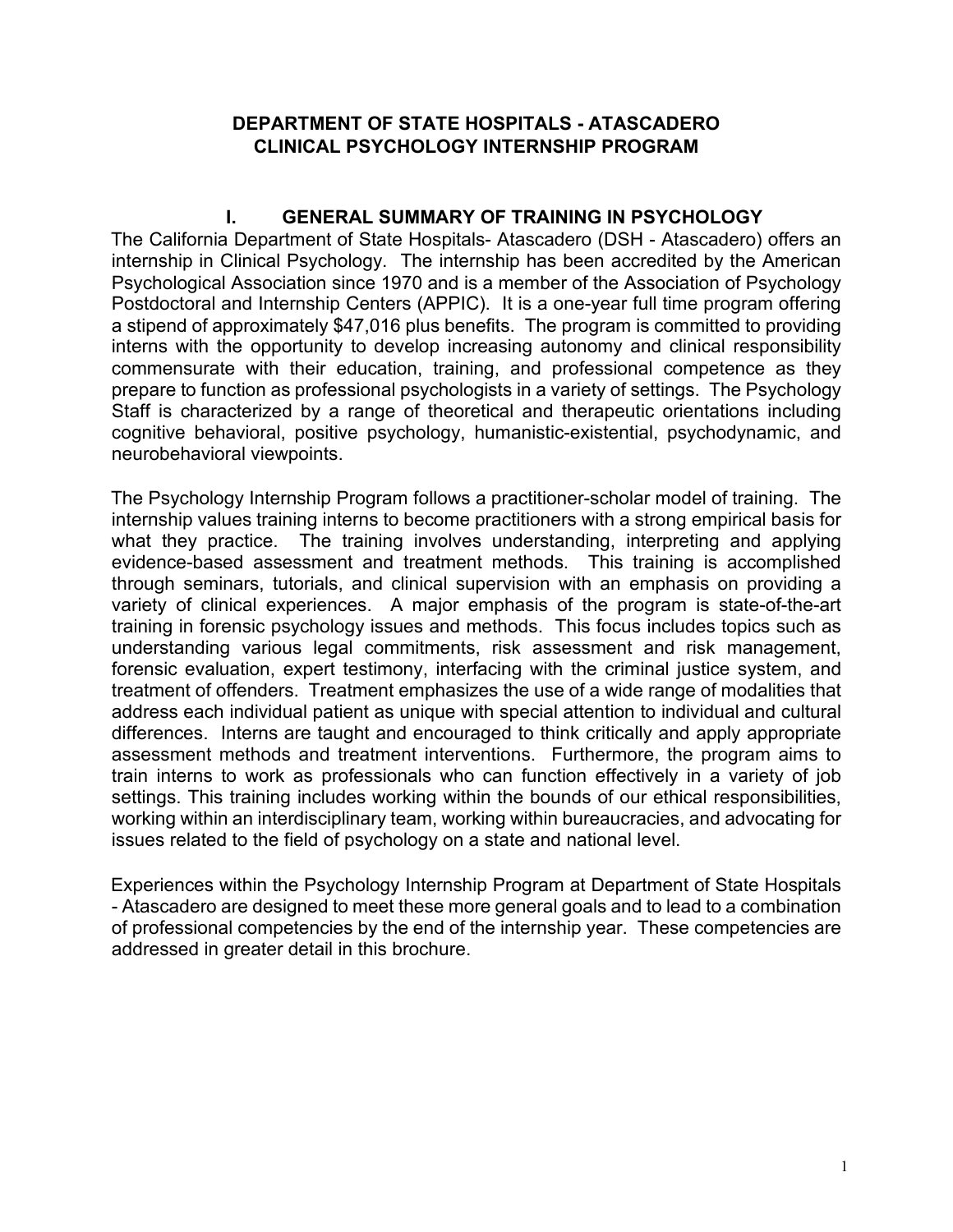#### **DEPARTMENT OF STATE HOSPITALS - ATASCADERO CLINICAL PSYCHOLOGY INTERNSHIP PROGRAM**

#### **I. GENERAL SUMMARY OF TRAINING IN PSYCHOLOGY**

The California Department of State Hospitals- Atascadero (DSH - Atascadero) offers an internship in Clinical Psychology. The internship has been accredited by the American Psychological Association since 1970 and is a member of the Association of Psychology Postdoctoral and Internship Centers (APPIC). It is a one-year full time program offering a stipend of approximately \$47,016 plus benefits. The program is committed to providing interns with the opportunity to develop increasing autonomy and clinical responsibility commensurate with their education, training, and professional competence as they prepare to function as professional psychologists in a variety of settings. The Psychology Staff is characterized by a range of theoretical and therapeutic orientations including cognitive behavioral, positive psychology, humanistic-existential, psychodynamic, and neurobehavioral viewpoints.

The Psychology Internship Program follows a practitioner-scholar model of training. The internship values training interns to become practitioners with a strong empirical basis for what they practice. The training involves understanding, interpreting and applying evidence-based assessment and treatment methods. This training is accomplished through seminars, tutorials, and clinical supervision with an emphasis on providing a variety of clinical experiences. A major emphasis of the program is state-of-the-art training in forensic psychology issues and methods. This focus includes topics such as understanding various legal commitments, risk assessment and risk management, forensic evaluation, expert testimony, interfacing with the criminal justice system, and treatment of offenders. Treatment emphasizes the use of a wide range of modalities that address each individual patient as unique with special attention to individual and cultural differences. Interns are taught and encouraged to think critically and apply appropriate assessment methods and treatment interventions. Furthermore, the program aims to train interns to work as professionals who can function effectively in a variety of job settings. This training includes working within the bounds of our ethical responsibilities, working within an interdisciplinary team, working within bureaucracies, and advocating for issues related to the field of psychology on a state and national level.

Experiences within the Psychology Internship Program at Department of State Hospitals - Atascadero are designed to meet these more general goals and to lead to a combination of professional competencies by the end of the internship year. These competencies are addressed in greater detail in this brochure.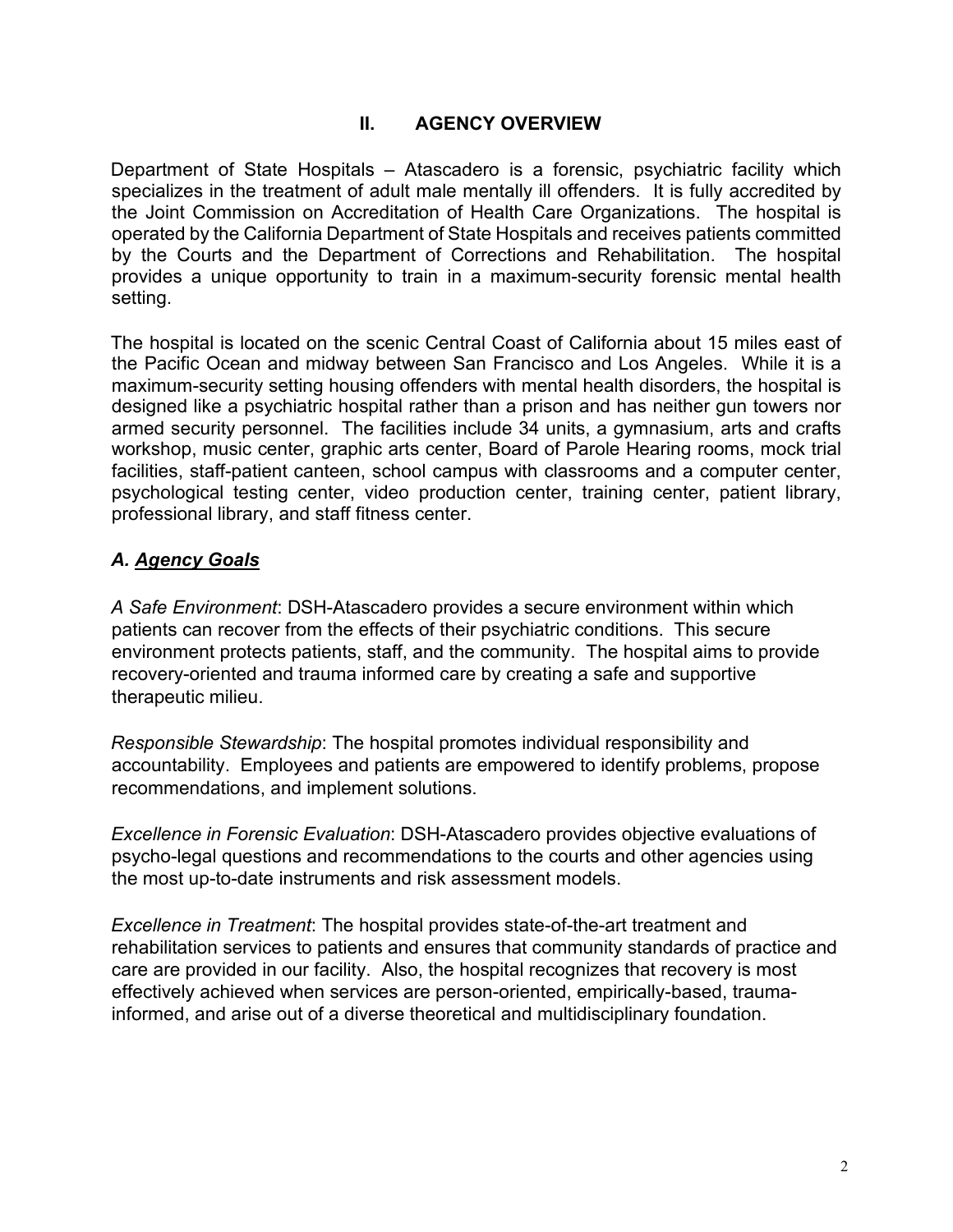#### **II. AGENCY OVERVIEW**

Department of State Hospitals – Atascadero is a forensic, psychiatric facility which specializes in the treatment of adult male mentally ill offenders. It is fully accredited by the Joint Commission on Accreditation of Health Care Organizations. The hospital is operated by the California Department of State Hospitals and receives patients committed by the Courts and the Department of Corrections and Rehabilitation. The hospital provides a unique opportunity to train in a maximum-security forensic mental health setting.

The hospital is located on the scenic Central Coast of California about 15 miles east of the Pacific Ocean and midway between San Francisco and Los Angeles. While it is a maximum-security setting housing offenders with mental health disorders, the hospital is designed like a psychiatric hospital rather than a prison and has neither gun towers nor armed security personnel. The facilities include 34 units, a gymnasium, arts and crafts workshop, music center, graphic arts center, Board of Parole Hearing rooms, mock trial facilities, staff-patient canteen, school campus with classrooms and a computer center, psychological testing center, video production center, training center, patient library, professional library, and staff fitness center.

# *A. Agency Goals*

*A Safe Environment*: DSH-Atascadero provides a secure environment within which patients can recover from the effects of their psychiatric conditions. This secure environment protects patients, staff, and the community. The hospital aims to provide recovery-oriented and trauma informed care by creating a safe and supportive therapeutic milieu.

*Responsible Stewardship*: The hospital promotes individual responsibility and accountability. Employees and patients are empowered to identify problems, propose recommendations, and implement solutions.

*Excellence in Forensic Evaluation*: DSH-Atascadero provides objective evaluations of psycho-legal questions and recommendations to the courts and other agencies using the most up-to-date instruments and risk assessment models.

*Excellence in Treatment*: The hospital provides state-of-the-art treatment and rehabilitation services to patients and ensures that community standards of practice and care are provided in our facility. Also, the hospital recognizes that recovery is most effectively achieved when services are person-oriented, empirically-based, traumainformed, and arise out of a diverse theoretical and multidisciplinary foundation.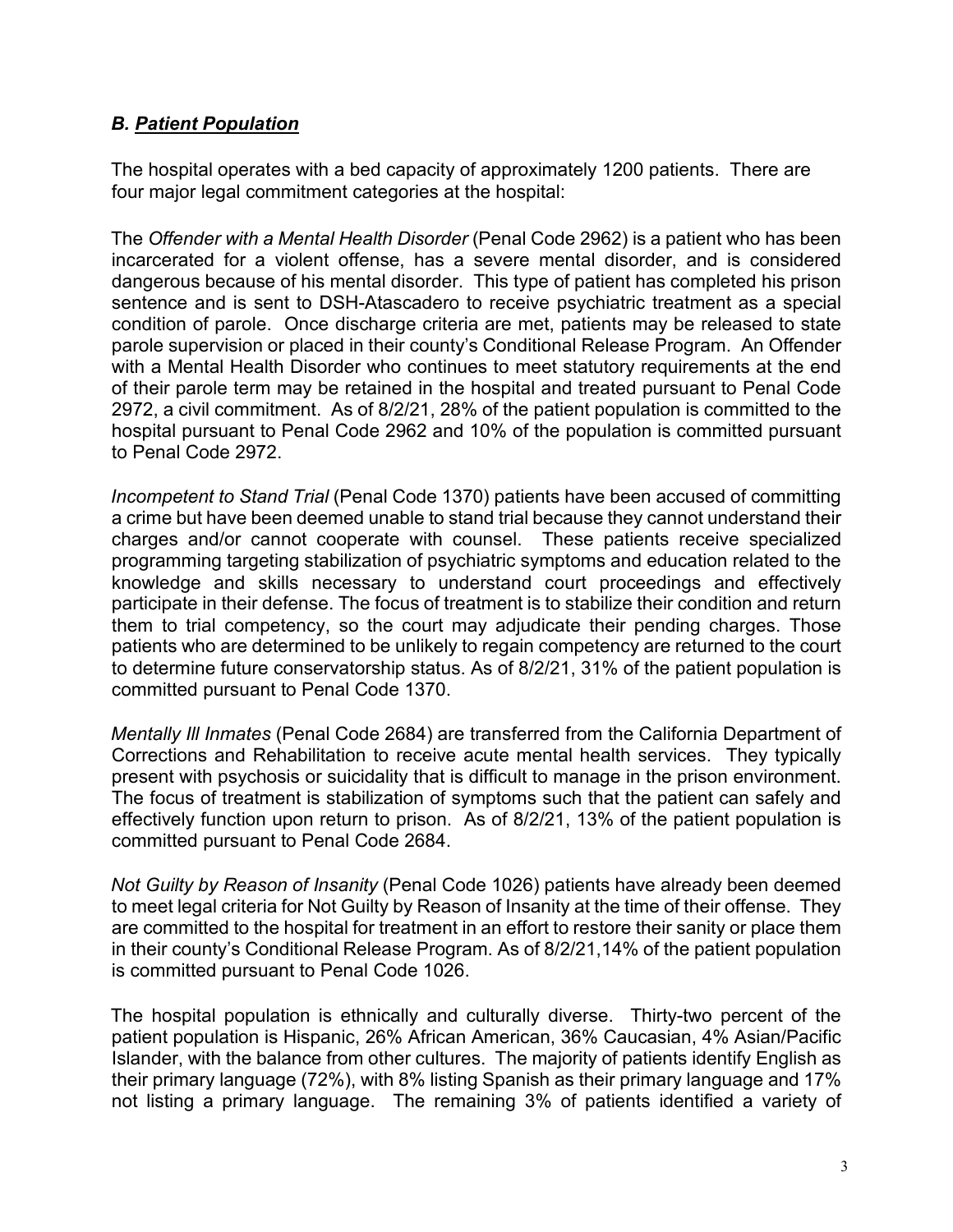#### *B. Patient Population*

The hospital operates with a bed capacity of approximately 1200 patients. There are four major legal commitment categories at the hospital:

The *Offender with a Mental Health Disorder* (Penal Code 2962) is a patient who has been incarcerated for a violent offense, has a severe mental disorder, and is considered dangerous because of his mental disorder. This type of patient has completed his prison sentence and is sent to DSH-Atascadero to receive psychiatric treatment as a special condition of parole. Once discharge criteria are met, patients may be released to state parole supervision or placed in their county's Conditional Release Program. An Offender with a Mental Health Disorder who continues to meet statutory requirements at the end of their parole term may be retained in the hospital and treated pursuant to Penal Code 2972, a civil commitment. As of 8/2/21, 28% of the patient population is committed to the hospital pursuant to Penal Code 2962 and 10% of the population is committed pursuant to Penal Code 2972.

*Incompetent to Stand Trial* (Penal Code 1370) patients have been accused of committing a crime but have been deemed unable to stand trial because they cannot understand their charges and/or cannot cooperate with counsel. These patients receive specialized programming targeting stabilization of psychiatric symptoms and education related to the knowledge and skills necessary to understand court proceedings and effectively participate in their defense. The focus of treatment is to stabilize their condition and return them to trial competency, so the court may adjudicate their pending charges. Those patients who are determined to be unlikely to regain competency are returned to the court to determine future conservatorship status. As of 8/2/21, 31% of the patient population is committed pursuant to Penal Code 1370.

*Mentally Ill Inmates* (Penal Code 2684) are transferred from the California Department of Corrections and Rehabilitation to receive acute mental health services. They typically present with psychosis or suicidality that is difficult to manage in the prison environment. The focus of treatment is stabilization of symptoms such that the patient can safely and effectively function upon return to prison. As of 8/2/21, 13% of the patient population is committed pursuant to Penal Code 2684.

*Not Guilty by Reason of Insanity* (Penal Code 1026) patients have already been deemed to meet legal criteria for Not Guilty by Reason of Insanity at the time of their offense. They are committed to the hospital for treatment in an effort to restore their sanity or place them in their county's Conditional Release Program. As of 8/2/21,14% of the patient population is committed pursuant to Penal Code 1026.

The hospital population is ethnically and culturally diverse. Thirty-two percent of the patient population is Hispanic, 26% African American, 36% Caucasian, 4% Asian/Pacific Islander, with the balance from other cultures. The majority of patients identify English as their primary language (72%), with 8% listing Spanish as their primary language and 17% not listing a primary language. The remaining 3% of patients identified a variety of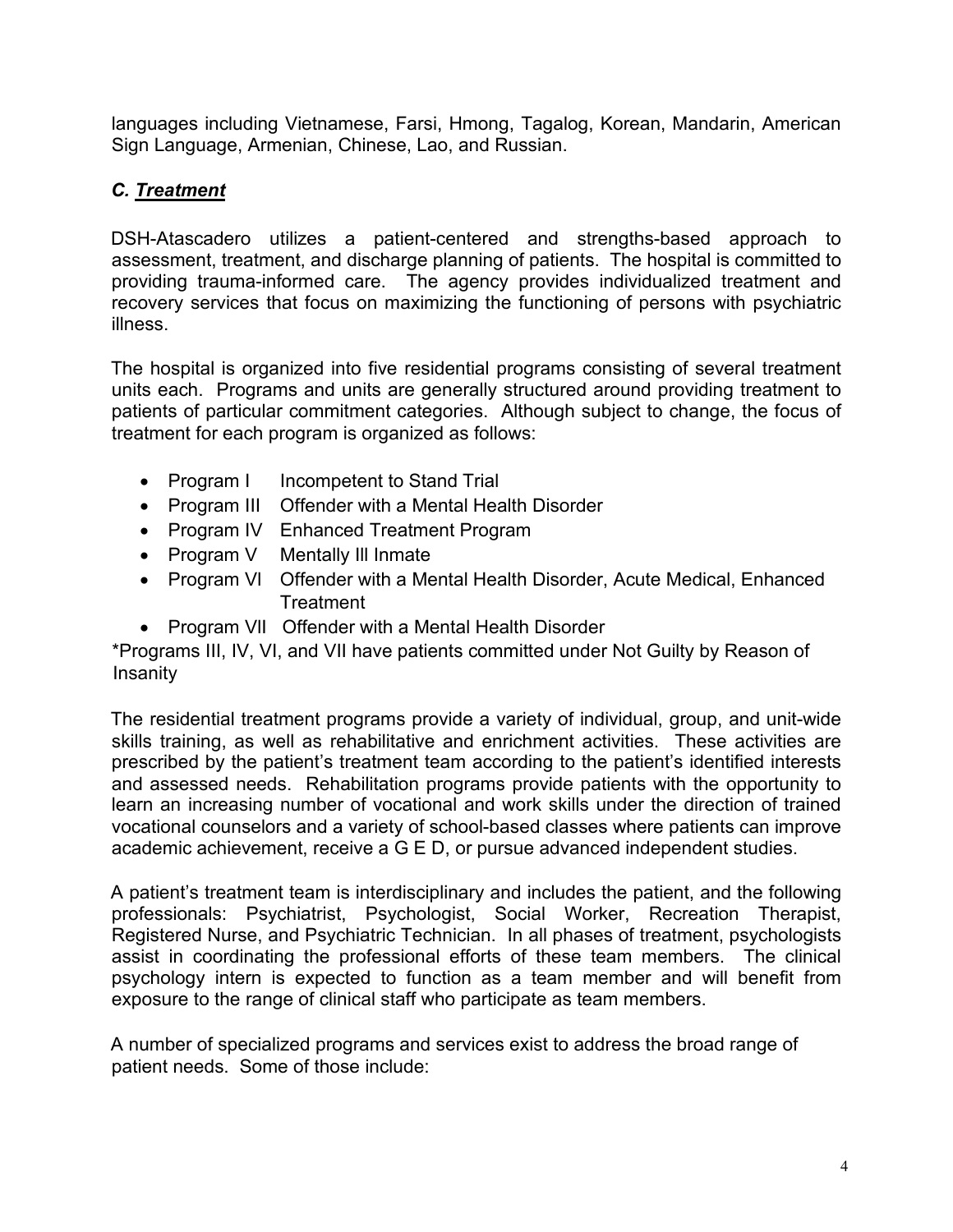languages including Vietnamese, Farsi, Hmong, Tagalog, Korean, Mandarin, American Sign Language, Armenian, Chinese, Lao, and Russian.

# *C. Treatment*

DSH-Atascadero utilizes a patient-centered and strengths-based approach to assessment, treatment, and discharge planning of patients. The hospital is committed to providing trauma-informed care. The agency provides individualized treatment and recovery services that focus on maximizing the functioning of persons with psychiatric illness.

The hospital is organized into five residential programs consisting of several treatment units each. Programs and units are generally structured around providing treatment to patients of particular commitment categories. Although subject to change, the focus of treatment for each program is organized as follows:

- Program I Incompetent to Stand Trial
- Program III Offender with a Mental Health Disorder
- Program IV Enhanced Treatment Program
- Program V Mentally III Inmate
- Program Vl Offender with a Mental Health Disorder, Acute Medical, Enhanced **Treatment**
- Program VlI Offender with a Mental Health Disorder

\*Programs III, IV, VI, and VII have patients committed under Not Guilty by Reason of Insanity

The residential treatment programs provide a variety of individual, group, and unit-wide skills training, as well as rehabilitative and enrichment activities. These activities are prescribed by the patient's treatment team according to the patient's identified interests and assessed needs. Rehabilitation programs provide patients with the opportunity to learn an increasing number of vocational and work skills under the direction of trained vocational counselors and a variety of school-based classes where patients can improve academic achievement, receive a G E D, or pursue advanced independent studies.

A patient's treatment team is interdisciplinary and includes the patient, and the following professionals: Psychiatrist, Psychologist, Social Worker, Recreation Therapist, Registered Nurse, and Psychiatric Technician. In all phases of treatment, psychologists assist in coordinating the professional efforts of these team members. The clinical psychology intern is expected to function as a team member and will benefit from exposure to the range of clinical staff who participate as team members.

A number of specialized programs and services exist to address the broad range of patient needs. Some of those include: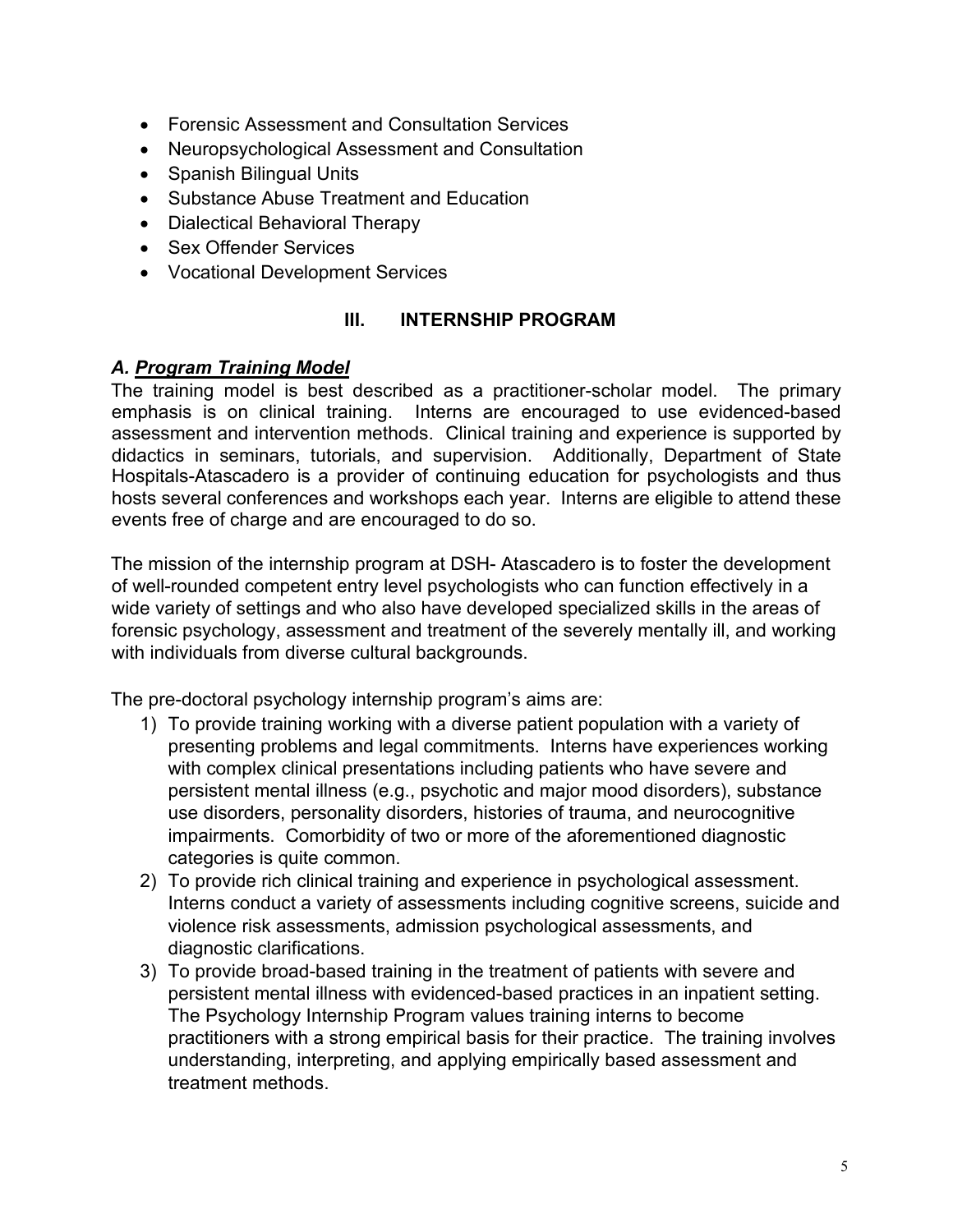- Forensic Assessment and Consultation Services
- Neuropsychological Assessment and Consultation
- Spanish Bilingual Units
- Substance Abuse Treatment and Education
- Dialectical Behavioral Therapy
- Sex Offender Services
- Vocational Development Services

#### **III. INTERNSHIP PROGRAM**

#### *A. Program Training Model*

The training model is best described as a practitioner-scholar model. The primary emphasis is on clinical training. Interns are encouraged to use evidenced-based assessment and intervention methods. Clinical training and experience is supported by didactics in seminars, tutorials, and supervision. Additionally, Department of State Hospitals-Atascadero is a provider of continuing education for psychologists and thus hosts several conferences and workshops each year. Interns are eligible to attend these events free of charge and are encouraged to do so.

The mission of the internship program at DSH- Atascadero is to foster the development of well-rounded competent entry level psychologists who can function effectively in a wide variety of settings and who also have developed specialized skills in the areas of forensic psychology, assessment and treatment of the severely mentally ill, and working with individuals from diverse cultural backgrounds.

The pre-doctoral psychology internship program's aims are:

- 1) To provide training working with a diverse patient population with a variety of presenting problems and legal commitments. Interns have experiences working with complex clinical presentations including patients who have severe and persistent mental illness (e.g., psychotic and major mood disorders), substance use disorders, personality disorders, histories of trauma, and neurocognitive impairments. Comorbidity of two or more of the aforementioned diagnostic categories is quite common.
- 2) To provide rich clinical training and experience in psychological assessment. Interns conduct a variety of assessments including cognitive screens, suicide and violence risk assessments, admission psychological assessments, and diagnostic clarifications.
- 3) To provide broad-based training in the treatment of patients with severe and persistent mental illness with evidenced-based practices in an inpatient setting. The Psychology Internship Program values training interns to become practitioners with a strong empirical basis for their practice. The training involves understanding, interpreting, and applying empirically based assessment and treatment methods.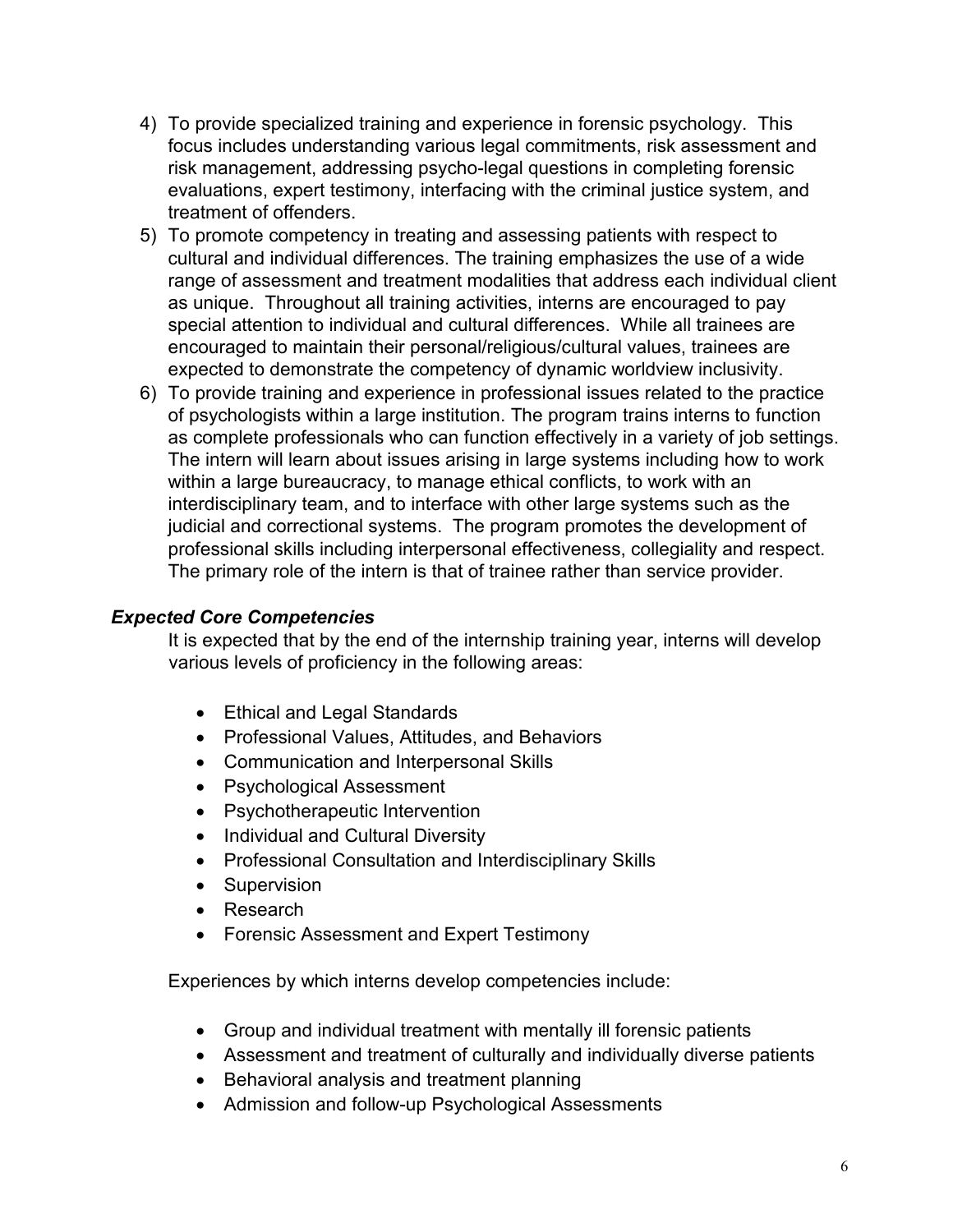- 4) To provide specialized training and experience in forensic psychology. This focus includes understanding various legal commitments, risk assessment and risk management, addressing psycho-legal questions in completing forensic evaluations, expert testimony, interfacing with the criminal justice system, and treatment of offenders.
- 5) To promote competency in treating and assessing patients with respect to cultural and individual differences. The training emphasizes the use of a wide range of assessment and treatment modalities that address each individual client as unique. Throughout all training activities, interns are encouraged to pay special attention to individual and cultural differences. While all trainees are encouraged to maintain their personal/religious/cultural values, trainees are expected to demonstrate the competency of dynamic worldview inclusivity.
- 6) To provide training and experience in professional issues related to the practice of psychologists within a large institution. The program trains interns to function as complete professionals who can function effectively in a variety of job settings. The intern will learn about issues arising in large systems including how to work within a large bureaucracy, to manage ethical conflicts, to work with an interdisciplinary team, and to interface with other large systems such as the judicial and correctional systems. The program promotes the development of professional skills including interpersonal effectiveness, collegiality and respect. The primary role of the intern is that of trainee rather than service provider.

#### *Expected Core Competencies*

It is expected that by the end of the internship training year, interns will develop various levels of proficiency in the following areas:

- Ethical and Legal Standards
- Professional Values, Attitudes, and Behaviors
- Communication and Interpersonal Skills
- Psychological Assessment
- Psychotherapeutic Intervention
- Individual and Cultural Diversity
- Professional Consultation and Interdisciplinary Skills
- Supervision
- Research
- Forensic Assessment and Expert Testimony

Experiences by which interns develop competencies include:

- Group and individual treatment with mentally ill forensic patients
- Assessment and treatment of culturally and individually diverse patients
- Behavioral analysis and treatment planning
- Admission and follow-up Psychological Assessments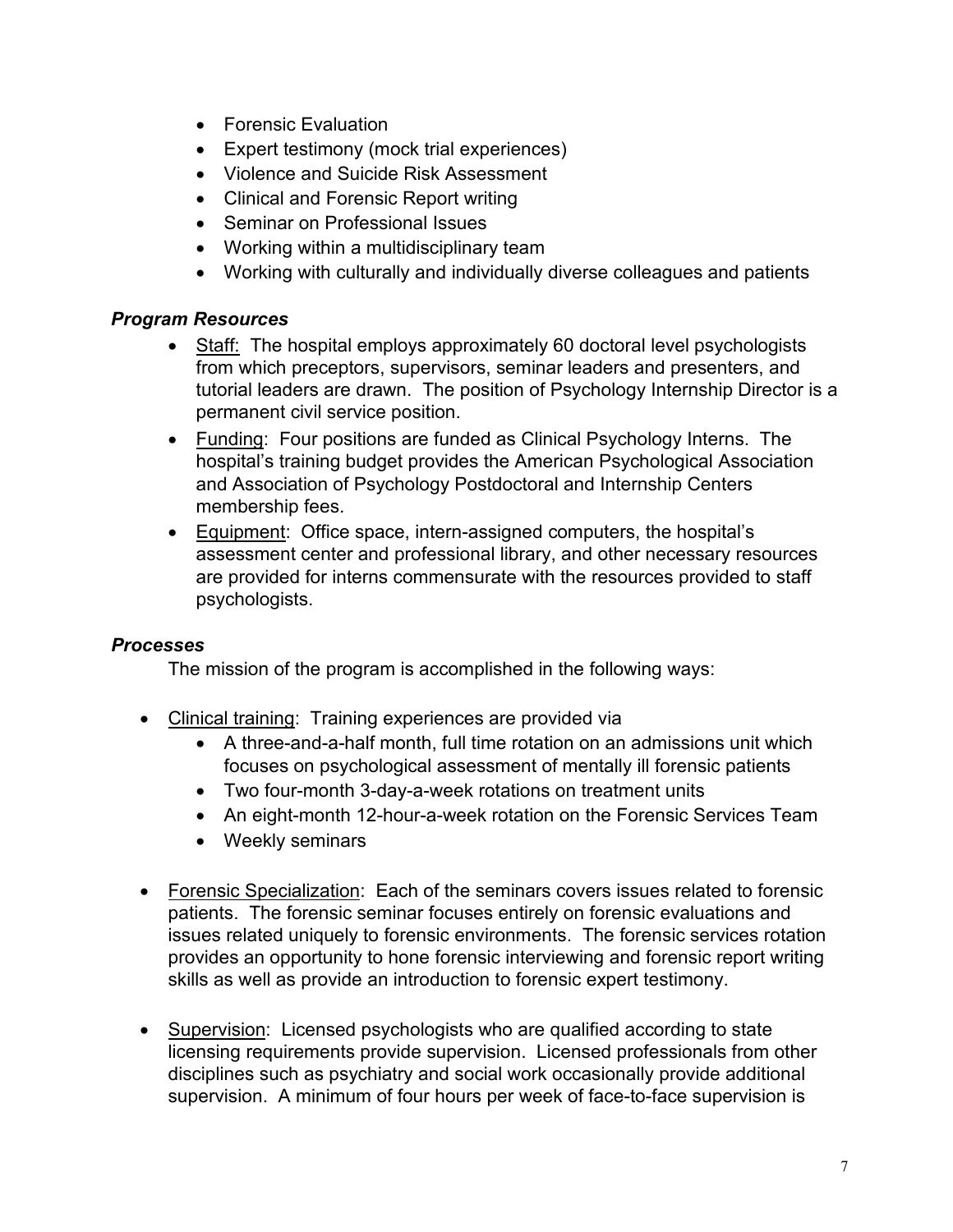- Forensic Evaluation
- Expert testimony (mock trial experiences)
- Violence and Suicide Risk Assessment
- Clinical and Forensic Report writing
- Seminar on Professional Issues
- Working within a multidisciplinary team
- Working with culturally and individually diverse colleagues and patients

# *Program Resources*

- Staff: The hospital employs approximately 60 doctoral level psychologists from which preceptors, supervisors, seminar leaders and presenters, and tutorial leaders are drawn. The position of Psychology Internship Director is a permanent civil service position.
- Funding: Four positions are funded as Clinical Psychology Interns. The hospital's training budget provides the American Psychological Association and Association of Psychology Postdoctoral and Internship Centers membership fees.
- Equipment: Office space, intern-assigned computers, the hospital's assessment center and professional library, and other necessary resources are provided for interns commensurate with the resources provided to staff psychologists.

#### *Processes*

The mission of the program is accomplished in the following ways:

- Clinical training: Training experiences are provided via
	- A three-and-a-half month, full time rotation on an admissions unit which focuses on psychological assessment of mentally ill forensic patients
	- Two four-month 3-day-a-week rotations on treatment units
	- An eight-month 12-hour-a-week rotation on the Forensic Services Team
	- Weekly seminars
- Forensic Specialization: Each of the seminars covers issues related to forensic patients. The forensic seminar focuses entirely on forensic evaluations and issues related uniquely to forensic environments. The forensic services rotation provides an opportunity to hone forensic interviewing and forensic report writing skills as well as provide an introduction to forensic expert testimony.
- Supervision: Licensed psychologists who are qualified according to state licensing requirements provide supervision. Licensed professionals from other disciplines such as psychiatry and social work occasionally provide additional supervision. A minimum of four hours per week of face-to-face supervision is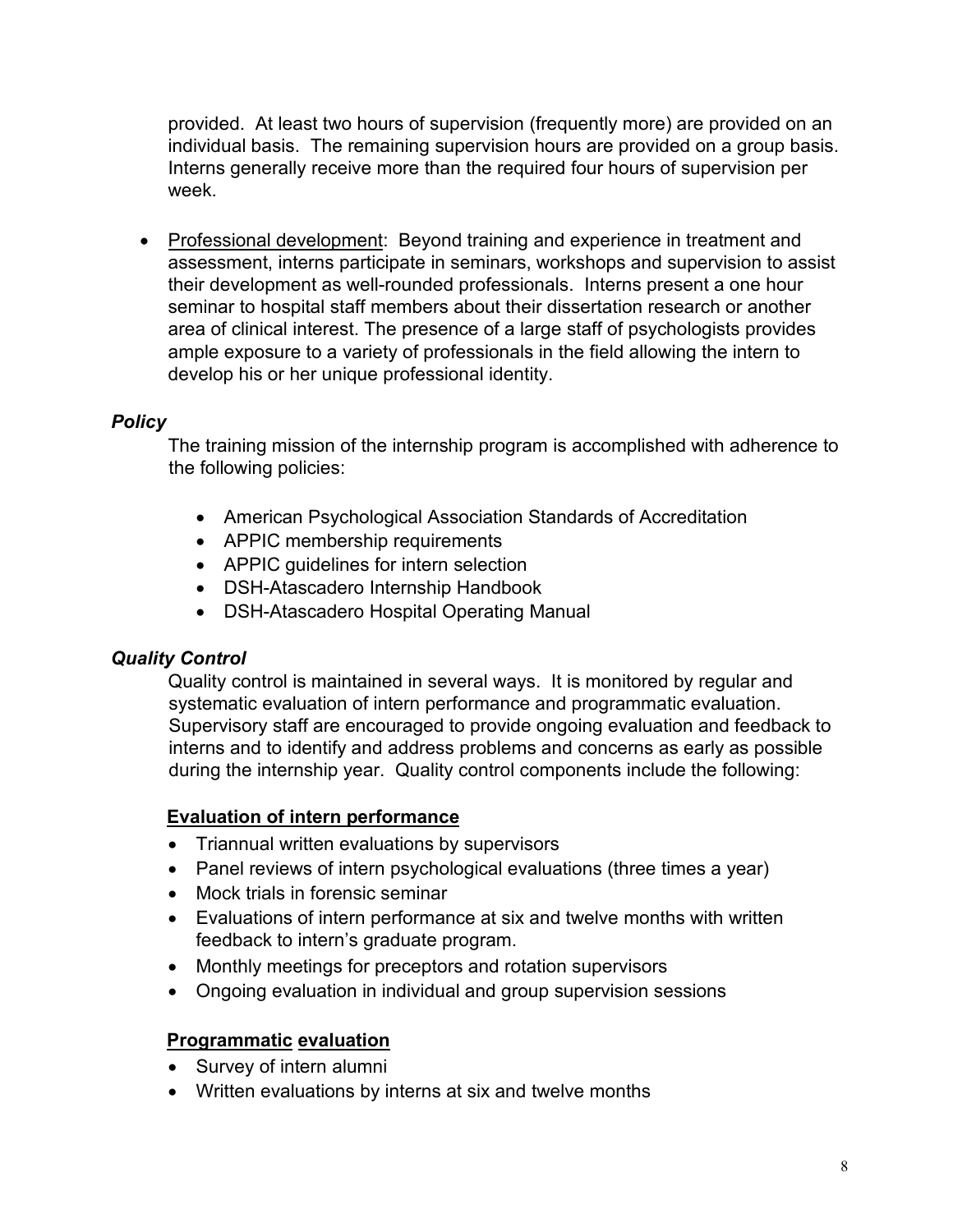provided. At least two hours of supervision (frequently more) are provided on an individual basis. The remaining supervision hours are provided on a group basis. Interns generally receive more than the required four hours of supervision per week.

• Professional development: Beyond training and experience in treatment and assessment, interns participate in seminars, workshops and supervision to assist their development as well-rounded professionals. Interns present a one hour seminar to hospital staff members about their dissertation research or another area of clinical interest. The presence of a large staff of psychologists provides ample exposure to a variety of professionals in the field allowing the intern to develop his or her unique professional identity.

#### *Policy*

The training mission of the internship program is accomplished with adherence to the following policies:

- American Psychological Association Standards of Accreditation
- APPIC membership requirements
- APPIC guidelines for intern selection
- DSH-Atascadero Internship Handbook
- DSH-Atascadero Hospital Operating Manual

#### *Quality Control*

Quality control is maintained in several ways. It is monitored by regular and systematic evaluation of intern performance and programmatic evaluation. Supervisory staff are encouraged to provide ongoing evaluation and feedback to interns and to identify and address problems and concerns as early as possible during the internship year. Quality control components include the following:

#### **Evaluation of intern performance**

- Triannual written evaluations by supervisors
- Panel reviews of intern psychological evaluations (three times a year)
- Mock trials in forensic seminar
- Evaluations of intern performance at six and twelve months with written feedback to intern's graduate program.
- Monthly meetings for preceptors and rotation supervisors
- Ongoing evaluation in individual and group supervision sessions

#### **Programmatic evaluation**

- Survey of intern alumni
- Written evaluations by interns at six and twelve months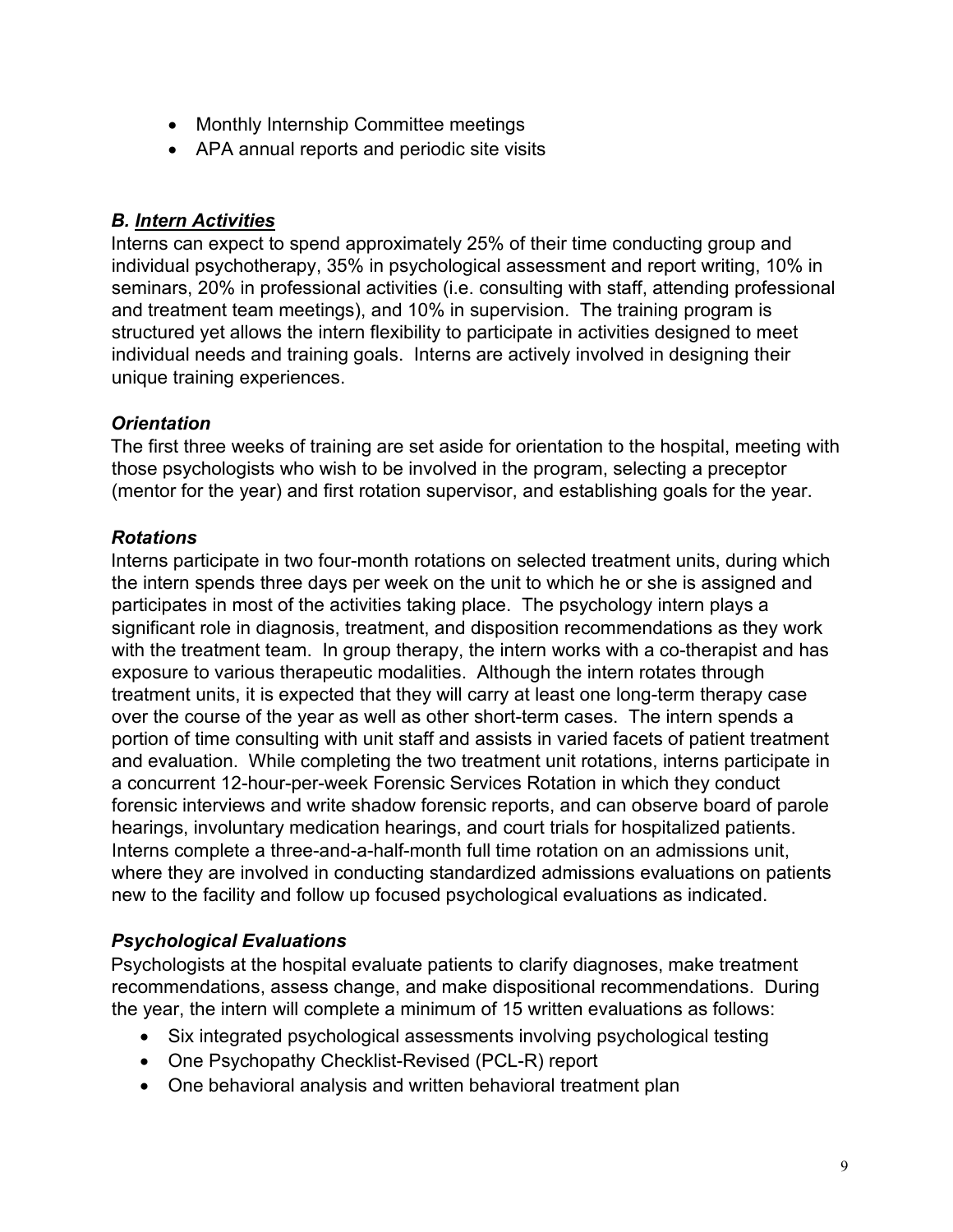- Monthly Internship Committee meetings
- APA annual reports and periodic site visits

# *B. Intern Activities*

Interns can expect to spend approximately 25% of their time conducting group and individual psychotherapy, 35% in psychological assessment and report writing, 10% in seminars, 20% in professional activities (i.e. consulting with staff, attending professional and treatment team meetings), and 10% in supervision. The training program is structured yet allows the intern flexibility to participate in activities designed to meet individual needs and training goals. Interns are actively involved in designing their unique training experiences.

# *Orientation*

The first three weeks of training are set aside for orientation to the hospital, meeting with those psychologists who wish to be involved in the program, selecting a preceptor (mentor for the year) and first rotation supervisor, and establishing goals for the year.

# *Rotations*

Interns participate in two four-month rotations on selected treatment units, during which the intern spends three days per week on the unit to which he or she is assigned and participates in most of the activities taking place. The psychology intern plays a significant role in diagnosis, treatment, and disposition recommendations as they work with the treatment team. In group therapy, the intern works with a co-therapist and has exposure to various therapeutic modalities. Although the intern rotates through treatment units, it is expected that they will carry at least one long-term therapy case over the course of the year as well as other short-term cases. The intern spends a portion of time consulting with unit staff and assists in varied facets of patient treatment and evaluation. While completing the two treatment unit rotations, interns participate in a concurrent 12-hour-per-week Forensic Services Rotation in which they conduct forensic interviews and write shadow forensic reports, and can observe board of parole hearings, involuntary medication hearings, and court trials for hospitalized patients. Interns complete a three-and-a-half-month full time rotation on an admissions unit, where they are involved in conducting standardized admissions evaluations on patients new to the facility and follow up focused psychological evaluations as indicated.

# *Psychological Evaluations*

Psychologists at the hospital evaluate patients to clarify diagnoses, make treatment recommendations, assess change, and make dispositional recommendations. During the year, the intern will complete a minimum of 15 written evaluations as follows:

- Six integrated psychological assessments involving psychological testing
- One Psychopathy Checklist-Revised (PCL-R) report
- One behavioral analysis and written behavioral treatment plan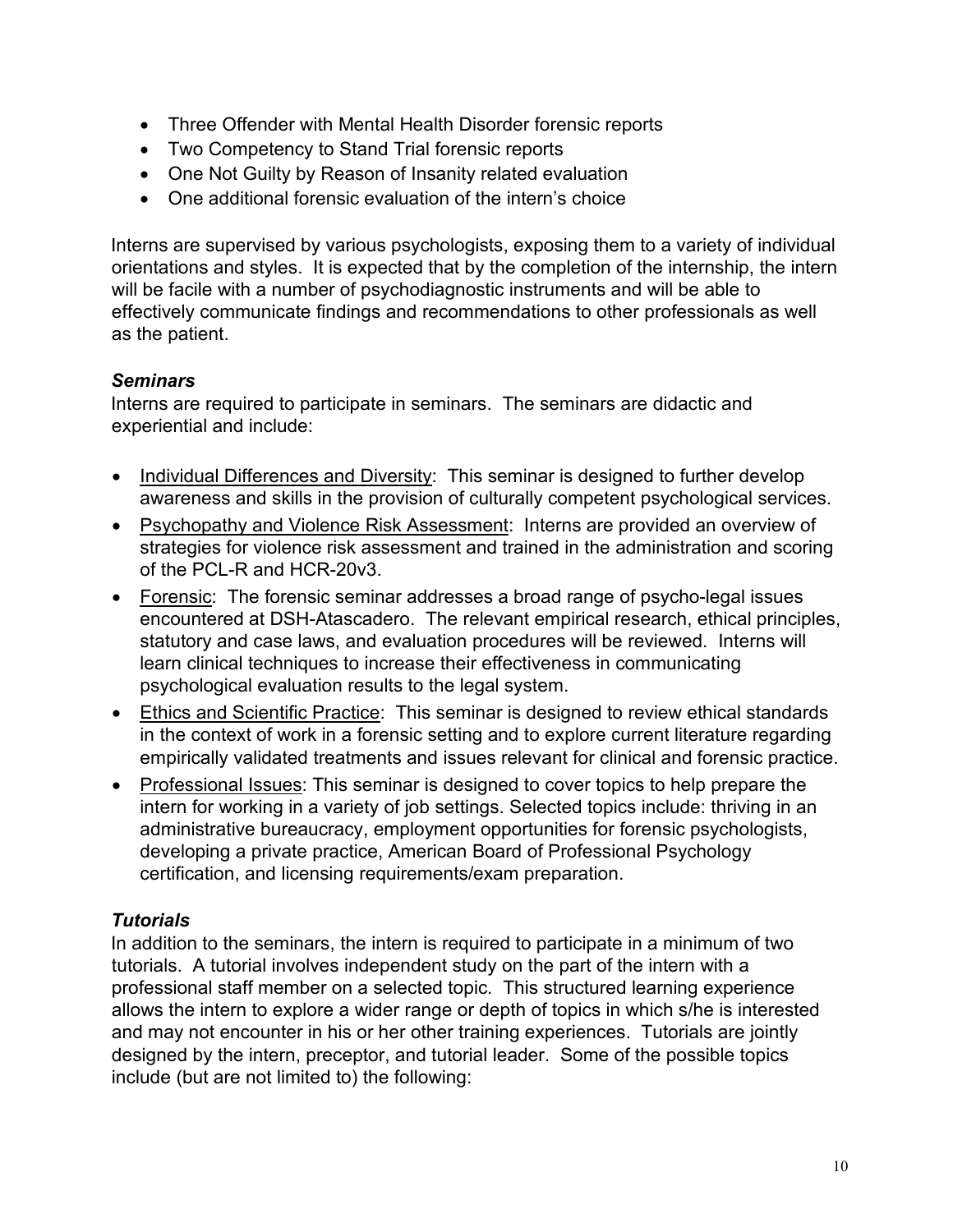- Three Offender with Mental Health Disorder forensic reports
- Two Competency to Stand Trial forensic reports
- One Not Guilty by Reason of Insanity related evaluation
- One additional forensic evaluation of the intern's choice

Interns are supervised by various psychologists, exposing them to a variety of individual orientations and styles. It is expected that by the completion of the internship, the intern will be facile with a number of psychodiagnostic instruments and will be able to effectively communicate findings and recommendations to other professionals as well as the patient.

# *Seminars*

Interns are required to participate in seminars. The seminars are didactic and experiential and include:

- Individual Differences and Diversity: This seminar is designed to further develop awareness and skills in the provision of culturally competent psychological services.
- Psychopathy and Violence Risk Assessment: Interns are provided an overview of strategies for violence risk assessment and trained in the administration and scoring of the PCL-R and HCR-20v3.
- Forensic: The forensic seminar addresses a broad range of psycho-legal issues encountered at DSH-Atascadero. The relevant empirical research, ethical principles, statutory and case laws, and evaluation procedures will be reviewed. Interns will learn clinical techniques to increase their effectiveness in communicating psychological evaluation results to the legal system.
- Ethics and Scientific Practice: This seminar is designed to review ethical standards in the context of work in a forensic setting and to explore current literature regarding empirically validated treatments and issues relevant for clinical and forensic practice.
- Professional Issues: This seminar is designed to cover topics to help prepare the intern for working in a variety of job settings. Selected topics include: thriving in an administrative bureaucracy, employment opportunities for forensic psychologists, developing a private practice, American Board of Professional Psychology certification, and licensing requirements/exam preparation.

# *Tutorials*

In addition to the seminars, the intern is required to participate in a minimum of two tutorials. A tutorial involves independent study on the part of the intern with a professional staff member on a selected topic. This structured learning experience allows the intern to explore a wider range or depth of topics in which s/he is interested and may not encounter in his or her other training experiences. Tutorials are jointly designed by the intern, preceptor, and tutorial leader. Some of the possible topics include (but are not limited to) the following: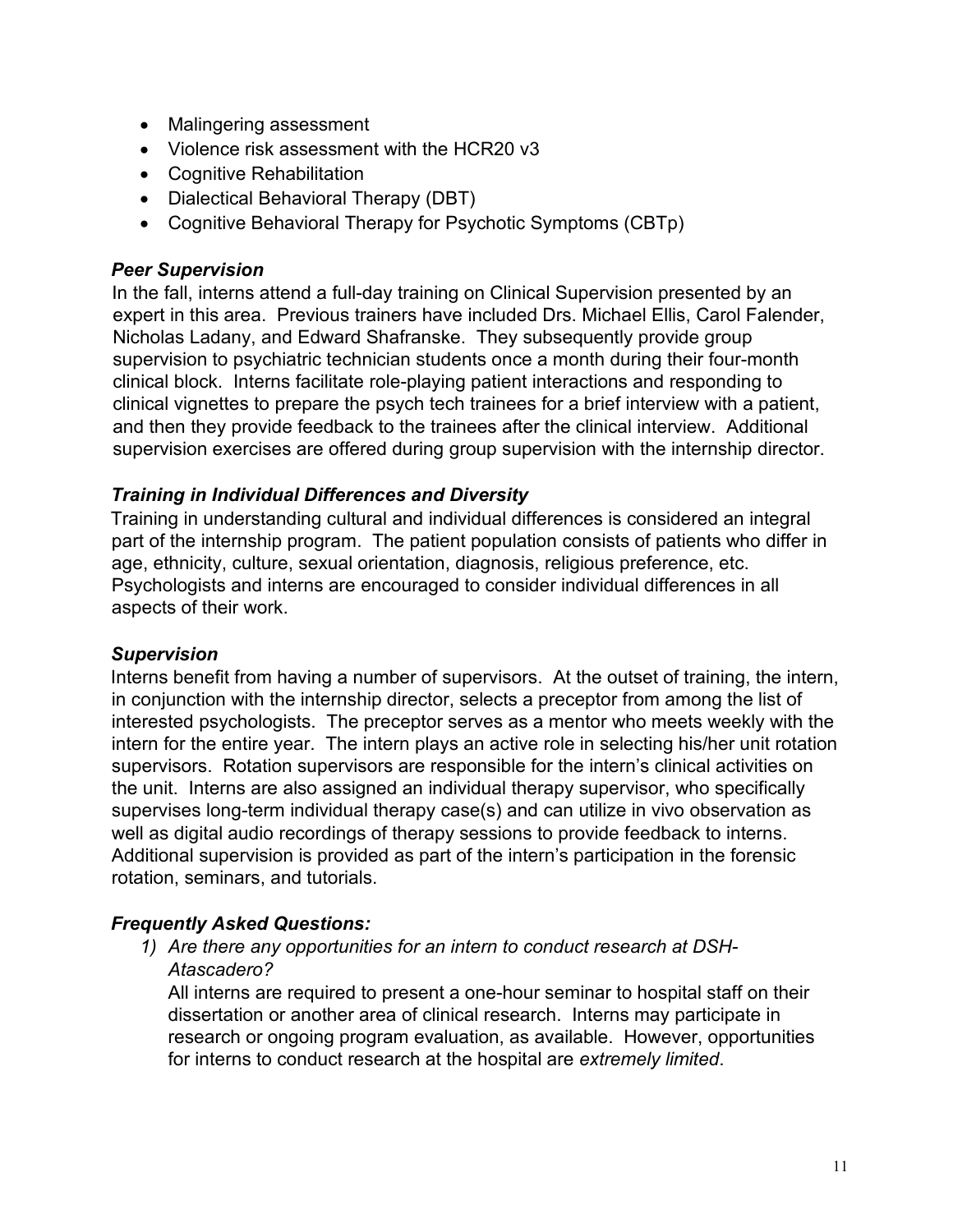- Malingering assessment
- Violence risk assessment with the HCR20 v3
- Cognitive Rehabilitation
- Dialectical Behavioral Therapy (DBT)
- Cognitive Behavioral Therapy for Psychotic Symptoms (CBTp)

#### *Peer Supervision*

In the fall, interns attend a full-day training on Clinical Supervision presented by an expert in this area. Previous trainers have included Drs. Michael Ellis, Carol Falender, Nicholas Ladany, and Edward Shafranske. They subsequently provide group supervision to psychiatric technician students once a month during their four-month clinical block. Interns facilitate role-playing patient interactions and responding to clinical vignettes to prepare the psych tech trainees for a brief interview with a patient, and then they provide feedback to the trainees after the clinical interview. Additional supervision exercises are offered during group supervision with the internship director.

#### *Training in Individual Differences and Diversity*

Training in understanding cultural and individual differences is considered an integral part of the internship program. The patient population consists of patients who differ in age, ethnicity, culture, sexual orientation, diagnosis, religious preference, etc. Psychologists and interns are encouraged to consider individual differences in all aspects of their work.

#### *Supervision*

Interns benefit from having a number of supervisors. At the outset of training, the intern, in conjunction with the internship director, selects a preceptor from among the list of interested psychologists. The preceptor serves as a mentor who meets weekly with the intern for the entire year. The intern plays an active role in selecting his/her unit rotation supervisors. Rotation supervisors are responsible for the intern's clinical activities on the unit. Interns are also assigned an individual therapy supervisor, who specifically supervises long-term individual therapy case(s) and can utilize in vivo observation as well as digital audio recordings of therapy sessions to provide feedback to interns. Additional supervision is provided as part of the intern's participation in the forensic rotation, seminars, and tutorials.

#### *Frequently Asked Questions:*

*1) Are there any opportunities for an intern to conduct research at DSH-Atascadero?*

All interns are required to present a one-hour seminar to hospital staff on their dissertation or another area of clinical research. Interns may participate in research or ongoing program evaluation, as available. However, opportunities for interns to conduct research at the hospital are *extremely limited*.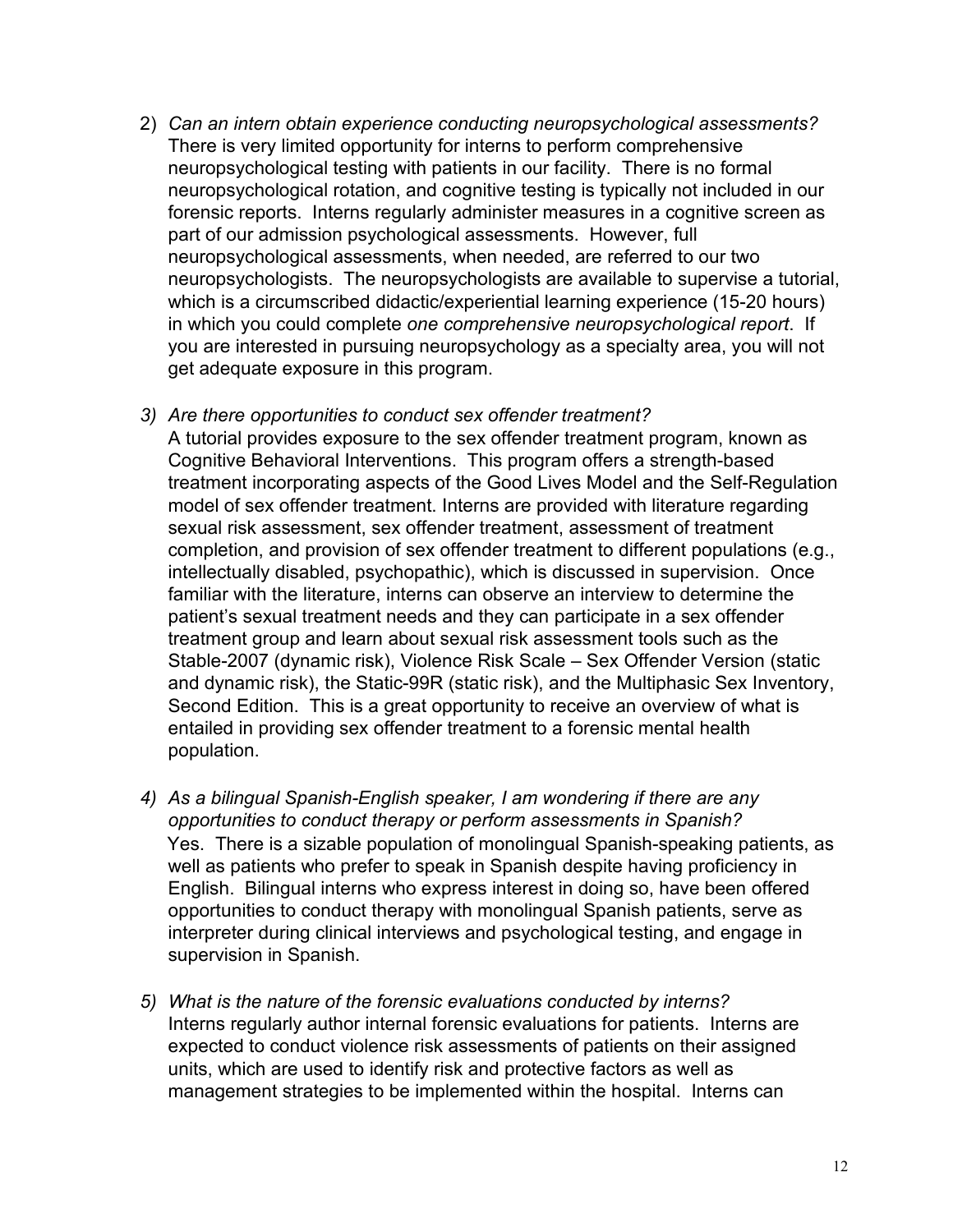- 2) *Can an intern obtain experience conducting neuropsychological assessments?* There is very limited opportunity for interns to perform comprehensive neuropsychological testing with patients in our facility. There is no formal neuropsychological rotation, and cognitive testing is typically not included in our forensic reports. Interns regularly administer measures in a cognitive screen as part of our admission psychological assessments. However, full neuropsychological assessments, when needed, are referred to our two neuropsychologists. The neuropsychologists are available to supervise a tutorial, which is a circumscribed didactic/experiential learning experience (15-20 hours) in which you could complete *one comprehensive neuropsychological report*. If you are interested in pursuing neuropsychology as a specialty area, you will not get adequate exposure in this program.
- *3) Are there opportunities to conduct sex offender treatment?*

A tutorial provides exposure to the sex offender treatment program, known as Cognitive Behavioral Interventions. This program offers a strength-based treatment incorporating aspects of the Good Lives Model and the Self-Regulation model of sex offender treatment. Interns are provided with literature regarding sexual risk assessment, sex offender treatment, assessment of treatment completion, and provision of sex offender treatment to different populations (e.g., intellectually disabled, psychopathic), which is discussed in supervision. Once familiar with the literature, interns can observe an interview to determine the patient's sexual treatment needs and they can participate in a sex offender treatment group and learn about sexual risk assessment tools such as the Stable-2007 (dynamic risk), Violence Risk Scale – Sex Offender Version (static and dynamic risk), the Static-99R (static risk), and the Multiphasic Sex Inventory, Second Edition. This is a great opportunity to receive an overview of what is entailed in providing sex offender treatment to a forensic mental health population.

- *4) As a bilingual Spanish-English speaker, I am wondering if there are any opportunities to conduct therapy or perform assessments in Spanish?* Yes. There is a sizable population of monolingual Spanish-speaking patients, as well as patients who prefer to speak in Spanish despite having proficiency in English. Bilingual interns who express interest in doing so, have been offered opportunities to conduct therapy with monolingual Spanish patients, serve as interpreter during clinical interviews and psychological testing, and engage in supervision in Spanish.
- *5) What is the nature of the forensic evaluations conducted by interns?* Interns regularly author internal forensic evaluations for patients. Interns are expected to conduct violence risk assessments of patients on their assigned units, which are used to identify risk and protective factors as well as management strategies to be implemented within the hospital. Interns can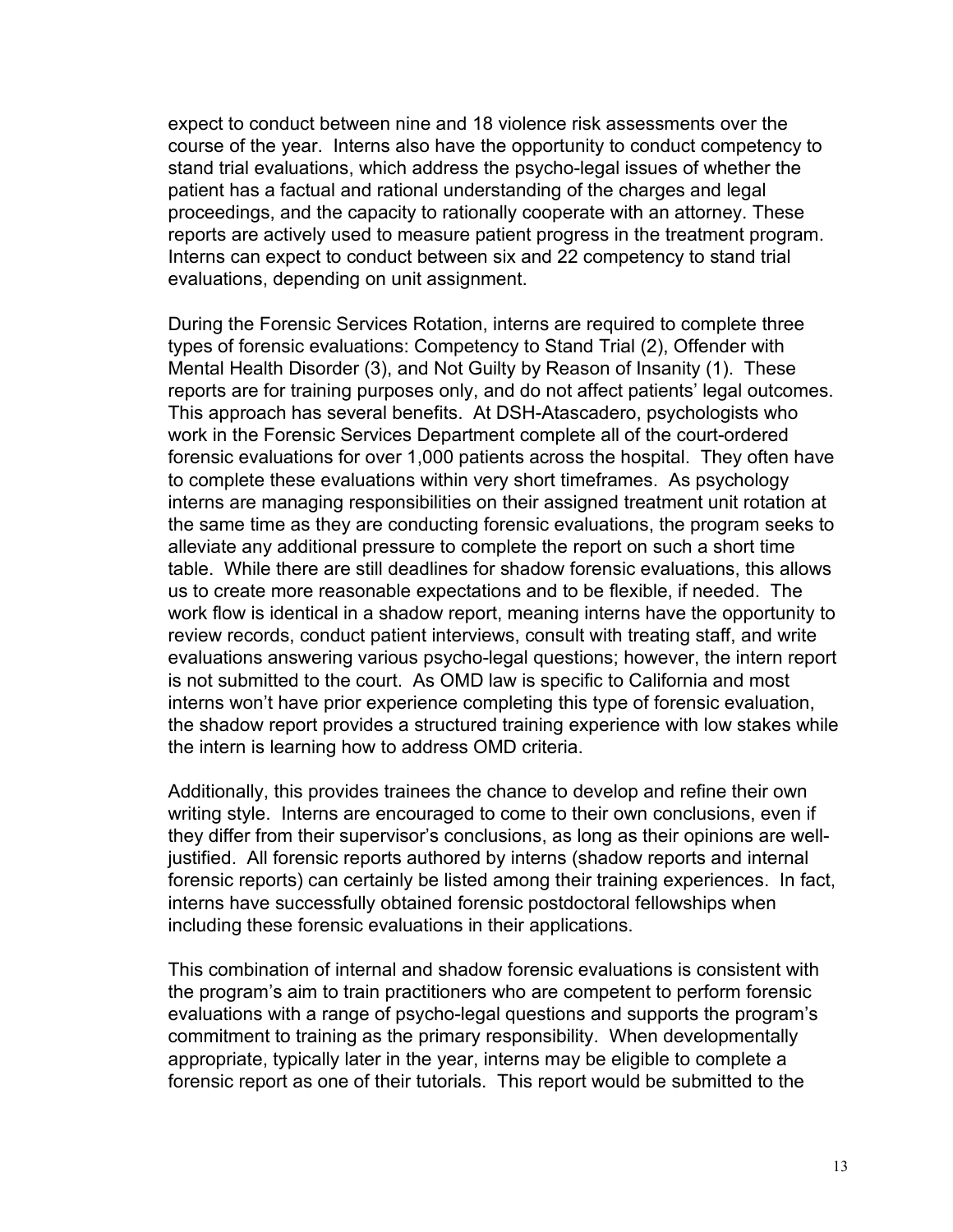expect to conduct between nine and 18 violence risk assessments over the course of the year. Interns also have the opportunity to conduct competency to stand trial evaluations, which address the psycho-legal issues of whether the patient has a factual and rational understanding of the charges and legal proceedings, and the capacity to rationally cooperate with an attorney. These reports are actively used to measure patient progress in the treatment program. Interns can expect to conduct between six and 22 competency to stand trial evaluations, depending on unit assignment.

During the Forensic Services Rotation, interns are required to complete three types of forensic evaluations: Competency to Stand Trial (2), Offender with Mental Health Disorder (3), and Not Guilty by Reason of Insanity (1). These reports are for training purposes only, and do not affect patients' legal outcomes. This approach has several benefits. At DSH-Atascadero, psychologists who work in the Forensic Services Department complete all of the court-ordered forensic evaluations for over 1,000 patients across the hospital. They often have to complete these evaluations within very short timeframes. As psychology interns are managing responsibilities on their assigned treatment unit rotation at the same time as they are conducting forensic evaluations, the program seeks to alleviate any additional pressure to complete the report on such a short time table. While there are still deadlines for shadow forensic evaluations, this allows us to create more reasonable expectations and to be flexible, if needed. The work flow is identical in a shadow report, meaning interns have the opportunity to review records, conduct patient interviews, consult with treating staff, and write evaluations answering various psycho-legal questions; however, the intern report is not submitted to the court. As OMD law is specific to California and most interns won't have prior experience completing this type of forensic evaluation, the shadow report provides a structured training experience with low stakes while the intern is learning how to address OMD criteria.

Additionally, this provides trainees the chance to develop and refine their own writing style. Interns are encouraged to come to their own conclusions, even if they differ from their supervisor's conclusions, as long as their opinions are welljustified. All forensic reports authored by interns (shadow reports and internal forensic reports) can certainly be listed among their training experiences. In fact, interns have successfully obtained forensic postdoctoral fellowships when including these forensic evaluations in their applications.

This combination of internal and shadow forensic evaluations is consistent with the program's aim to train practitioners who are competent to perform forensic evaluations with a range of psycho-legal questions and supports the program's commitment to training as the primary responsibility. When developmentally appropriate, typically later in the year, interns may be eligible to complete a forensic report as one of their tutorials. This report would be submitted to the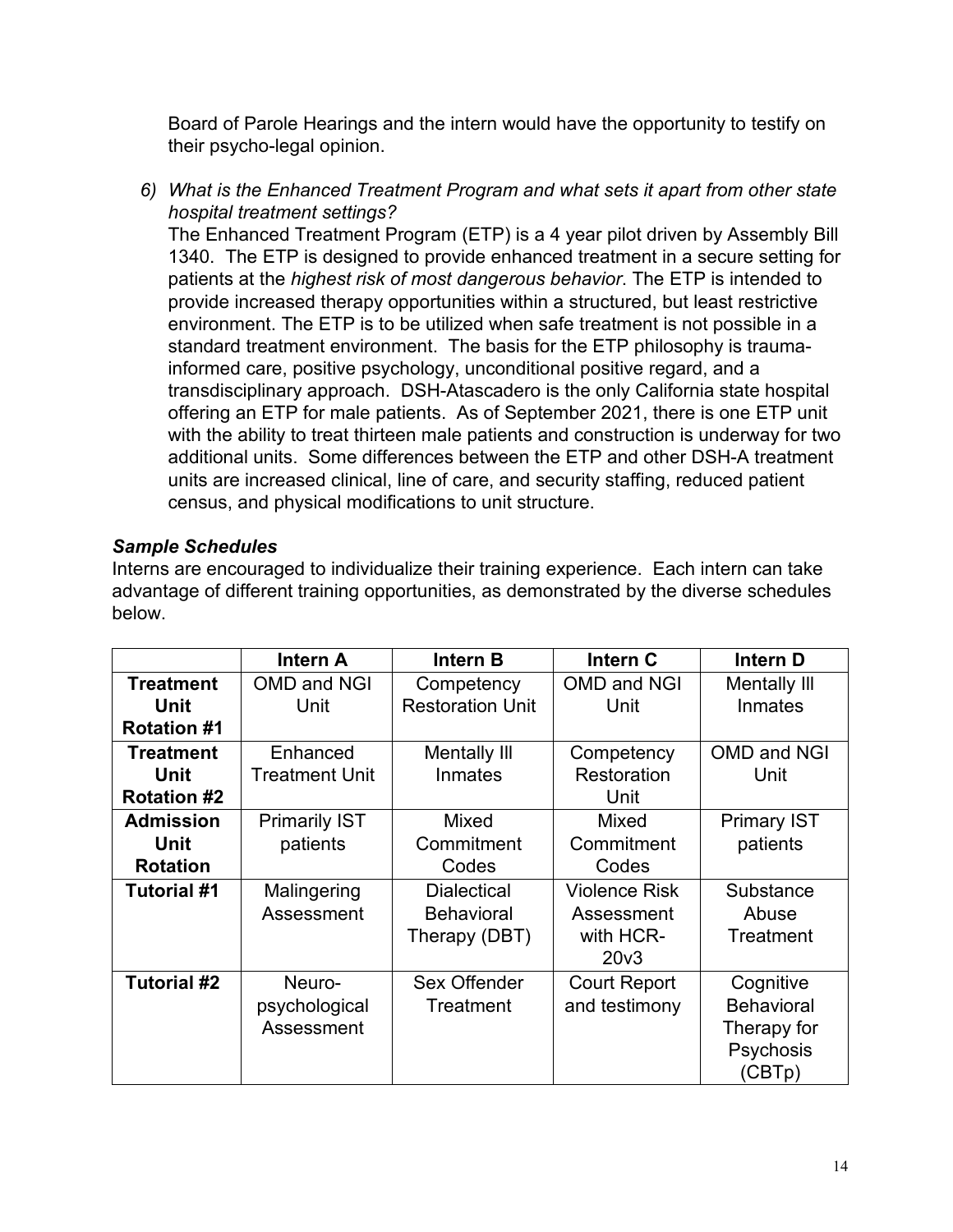Board of Parole Hearings and the intern would have the opportunity to testify on their psycho-legal opinion.

*6) What is the Enhanced Treatment Program and what sets it apart from other state hospital treatment settings?*

The Enhanced Treatment Program (ETP) is a 4 year pilot driven by Assembly Bill 1340. The ETP is designed to provide enhanced treatment in a secure setting for patients at the *highest risk of most dangerous behavior*. The ETP is intended to provide increased therapy opportunities within a structured, but least restrictive environment. The ETP is to be utilized when safe treatment is not possible in a standard treatment environment. The basis for the ETP philosophy is traumainformed care, positive psychology, unconditional positive regard, and a transdisciplinary approach. DSH-Atascadero is the only California state hospital offering an ETP for male patients. As of September 2021, there is one ETP unit with the ability to treat thirteen male patients and construction is underway for two additional units. Some differences between the ETP and other DSH-A treatment units are increased clinical, line of care, and security staffing, reduced patient census, and physical modifications to unit structure.

# *Sample Schedules*

Interns are encouraged to individualize their training experience. Each intern can take advantage of different training opportunities, as demonstrated by the diverse schedules below.

|                    | <b>Intern A</b>       | <b>Intern B</b>         | Intern C             | Intern D            |
|--------------------|-----------------------|-------------------------|----------------------|---------------------|
| <b>Treatment</b>   | <b>OMD and NGI</b>    | Competency              | <b>OMD and NGI</b>   | <b>Mentally III</b> |
| <b>Unit</b>        | Unit                  | <b>Restoration Unit</b> | Unit                 | <b>Inmates</b>      |
| <b>Rotation #1</b> |                       |                         |                      |                     |
| <b>Treatment</b>   | Enhanced              | Mentally III            | Competency           | OMD and NGI         |
| <b>Unit</b>        | <b>Treatment Unit</b> | Inmates                 | Restoration          | Unit                |
| <b>Rotation #2</b> |                       |                         | Unit                 |                     |
| <b>Admission</b>   | <b>Primarily IST</b>  | Mixed                   | <b>Mixed</b>         | <b>Primary IST</b>  |
| <b>Unit</b>        | patients              | Commitment              | Commitment           | patients            |
| <b>Rotation</b>    |                       | Codes                   | Codes                |                     |
| <b>Tutorial #1</b> | Malingering           | <b>Dialectical</b>      | <b>Violence Risk</b> | Substance           |
|                    | Assessment            | <b>Behavioral</b>       | Assessment           | Abuse               |
|                    |                       | Therapy (DBT)           | with HCR-            | Treatment           |
|                    |                       |                         | 20 <sub>v</sub> 3    |                     |
| Tutorial #2        | Neuro-                | Sex Offender            | <b>Court Report</b>  | Cognitive           |
|                    | psychological         | Treatment               | and testimony        | <b>Behavioral</b>   |
|                    | Assessment            |                         |                      | Therapy for         |
|                    |                       |                         |                      | Psychosis           |
|                    |                       |                         |                      | (CBTp)              |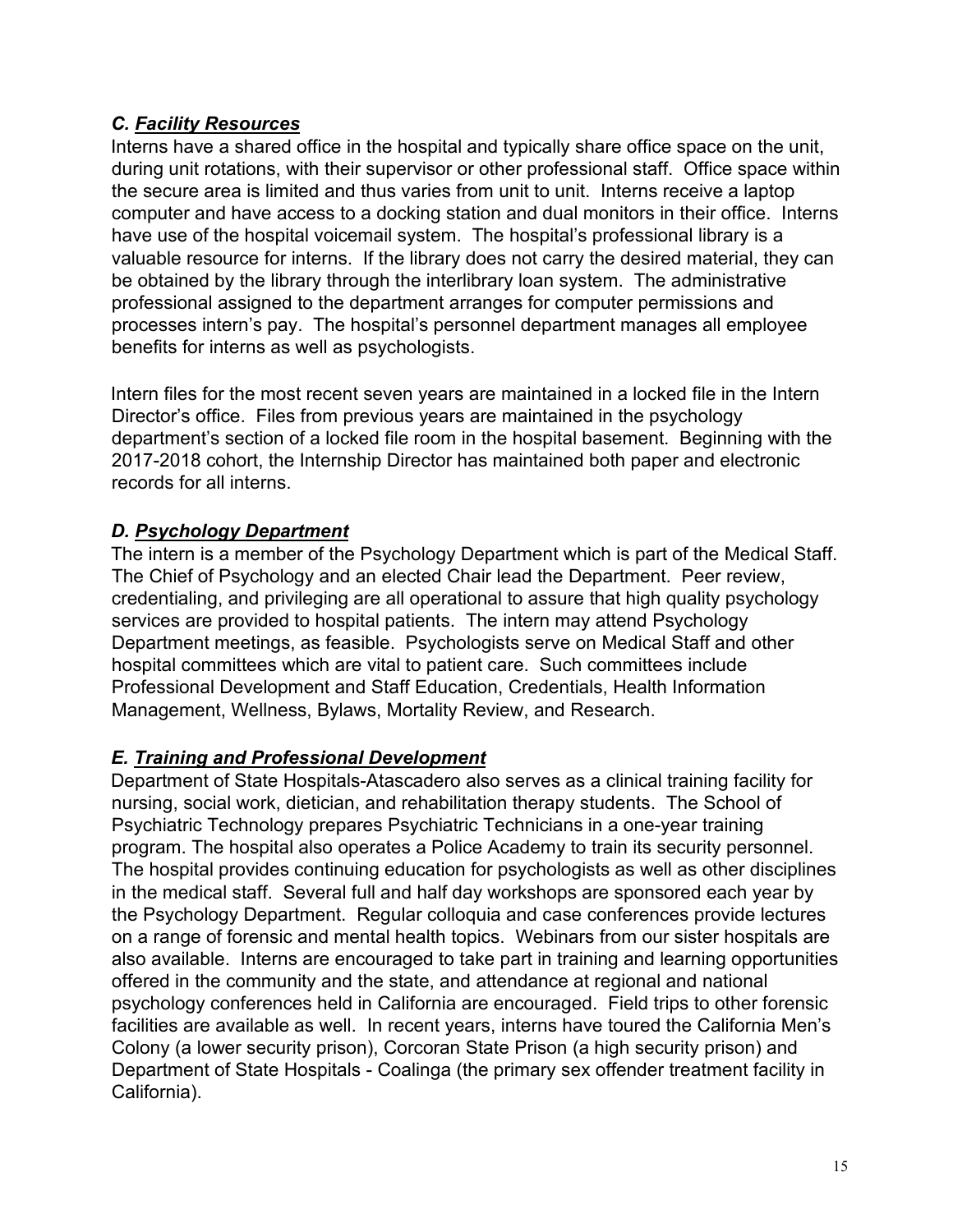#### *C. Facility Resources*

Interns have a shared office in the hospital and typically share office space on the unit, during unit rotations, with their supervisor or other professional staff. Office space within the secure area is limited and thus varies from unit to unit. Interns receive a laptop computer and have access to a docking station and dual monitors in their office. Interns have use of the hospital voicemail system. The hospital's professional library is a valuable resource for interns. If the library does not carry the desired material, they can be obtained by the library through the interlibrary loan system. The administrative professional assigned to the department arranges for computer permissions and processes intern's pay. The hospital's personnel department manages all employee benefits for interns as well as psychologists.

Intern files for the most recent seven years are maintained in a locked file in the Intern Director's office. Files from previous years are maintained in the psychology department's section of a locked file room in the hospital basement. Beginning with the 2017-2018 cohort, the Internship Director has maintained both paper and electronic records for all interns.

# *D. Psychology Department*

The intern is a member of the Psychology Department which is part of the Medical Staff. The Chief of Psychology and an elected Chair lead the Department. Peer review, credentialing, and privileging are all operational to assure that high quality psychology services are provided to hospital patients. The intern may attend Psychology Department meetings, as feasible. Psychologists serve on Medical Staff and other hospital committees which are vital to patient care. Such committees include Professional Development and Staff Education, Credentials, Health Information Management, Wellness, Bylaws, Mortality Review, and Research.

# *E. Training and Professional Development*

Department of State Hospitals-Atascadero also serves as a clinical training facility for nursing, social work, dietician, and rehabilitation therapy students. The School of Psychiatric Technology prepares Psychiatric Technicians in a one-year training program. The hospital also operates a Police Academy to train its security personnel. The hospital provides continuing education for psychologists as well as other disciplines in the medical staff. Several full and half day workshops are sponsored each year by the Psychology Department. Regular colloquia and case conferences provide lectures on a range of forensic and mental health topics. Webinars from our sister hospitals are also available. Interns are encouraged to take part in training and learning opportunities offered in the community and the state, and attendance at regional and national psychology conferences held in California are encouraged. Field trips to other forensic facilities are available as well. In recent years, interns have toured the California Men's Colony (a lower security prison), Corcoran State Prison (a high security prison) and Department of State Hospitals - Coalinga (the primary sex offender treatment facility in California).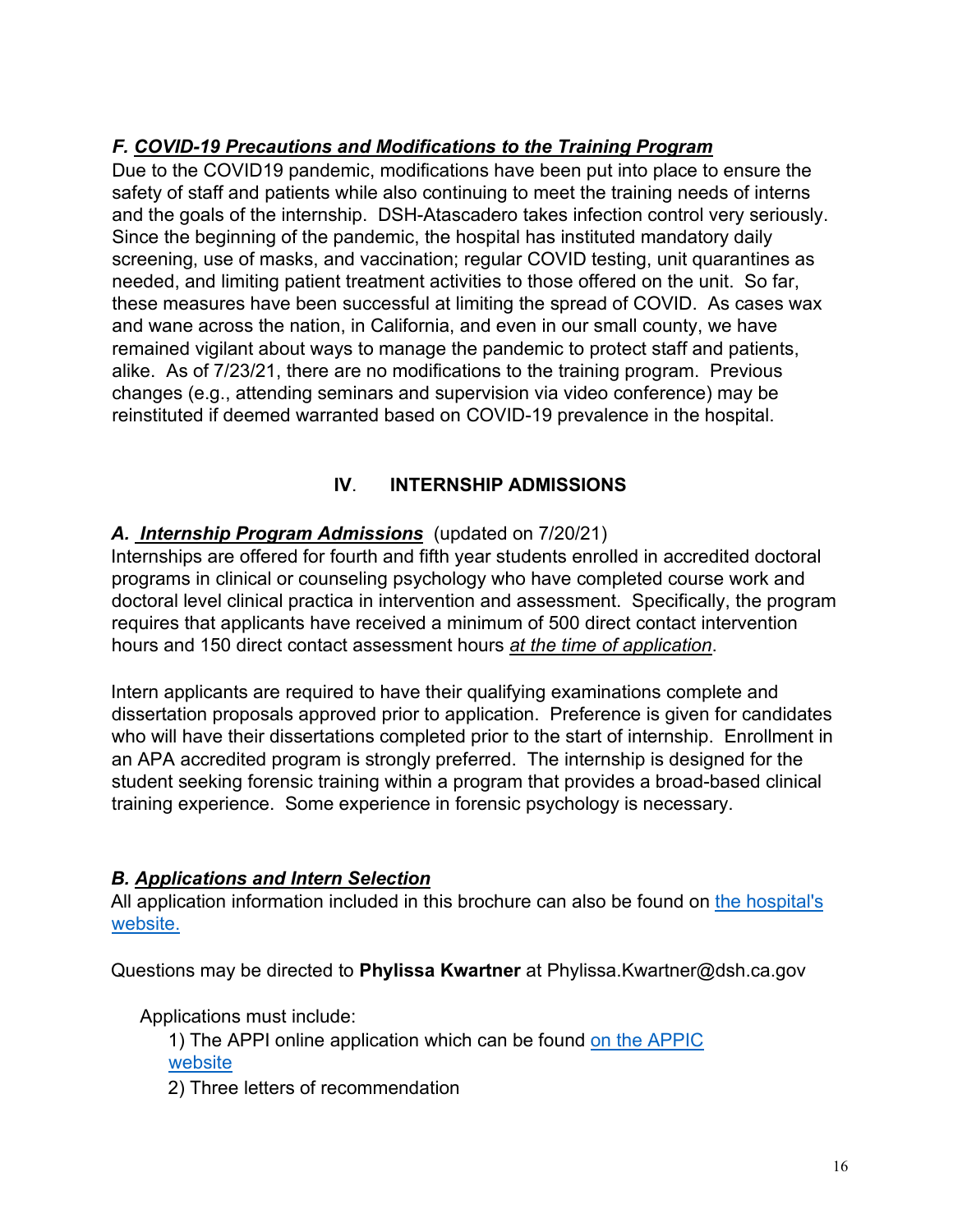# *F. COVID-19 Precautions and Modifications to the Training Program*

Due to the COVID19 pandemic, modifications have been put into place to ensure the safety of staff and patients while also continuing to meet the training needs of interns and the goals of the internship. DSH-Atascadero takes infection control very seriously. Since the beginning of the pandemic, the hospital has instituted mandatory daily screening, use of masks, and vaccination; regular COVID testing, unit quarantines as needed, and limiting patient treatment activities to those offered on the unit. So far, these measures have been successful at limiting the spread of COVID. As cases wax and wane across the nation, in California, and even in our small county, we have remained vigilant about ways to manage the pandemic to protect staff and patients, alike. As of 7/23/21, there are no modifications to the training program. Previous changes (e.g., attending seminars and supervision via video conference) may be reinstituted if deemed warranted based on COVID-19 prevalence in the hospital.

# **IV**. **INTERNSHIP ADMISSIONS**

# *A. Internship Program Admissions* (updated on 7/20/21)

Internships are offered for fourth and fifth year students enrolled in accredited doctoral programs in clinical or counseling psychology who have completed course work and doctoral level clinical practica in intervention and assessment. Specifically, the program requires that applicants have received a minimum of 500 direct contact intervention hours and 150 direct contact assessment hours *at the time of application*.

Intern applicants are required to have their qualifying examinations complete and dissertation proposals approved prior to application. Preference is given for candidates who will have their dissertations completed prior to the start of internship. Enrollment in an APA accredited program is strongly preferred. The internship is designed for the student seeking forensic training within a program that provides a broad-based clinical training experience. Some experience in forensic psychology is necessary.

#### *B. Applications and Intern Selection*

All application information included in this brochure can also be found on the hospital's website.

Questions may be directed to **Phylissa Kwartner** at Phylissa.Kwartner@dsh.ca.gov

Applications must include:

1) The APPI online application which can be found on the APPIC website

2) Three letters of recommendation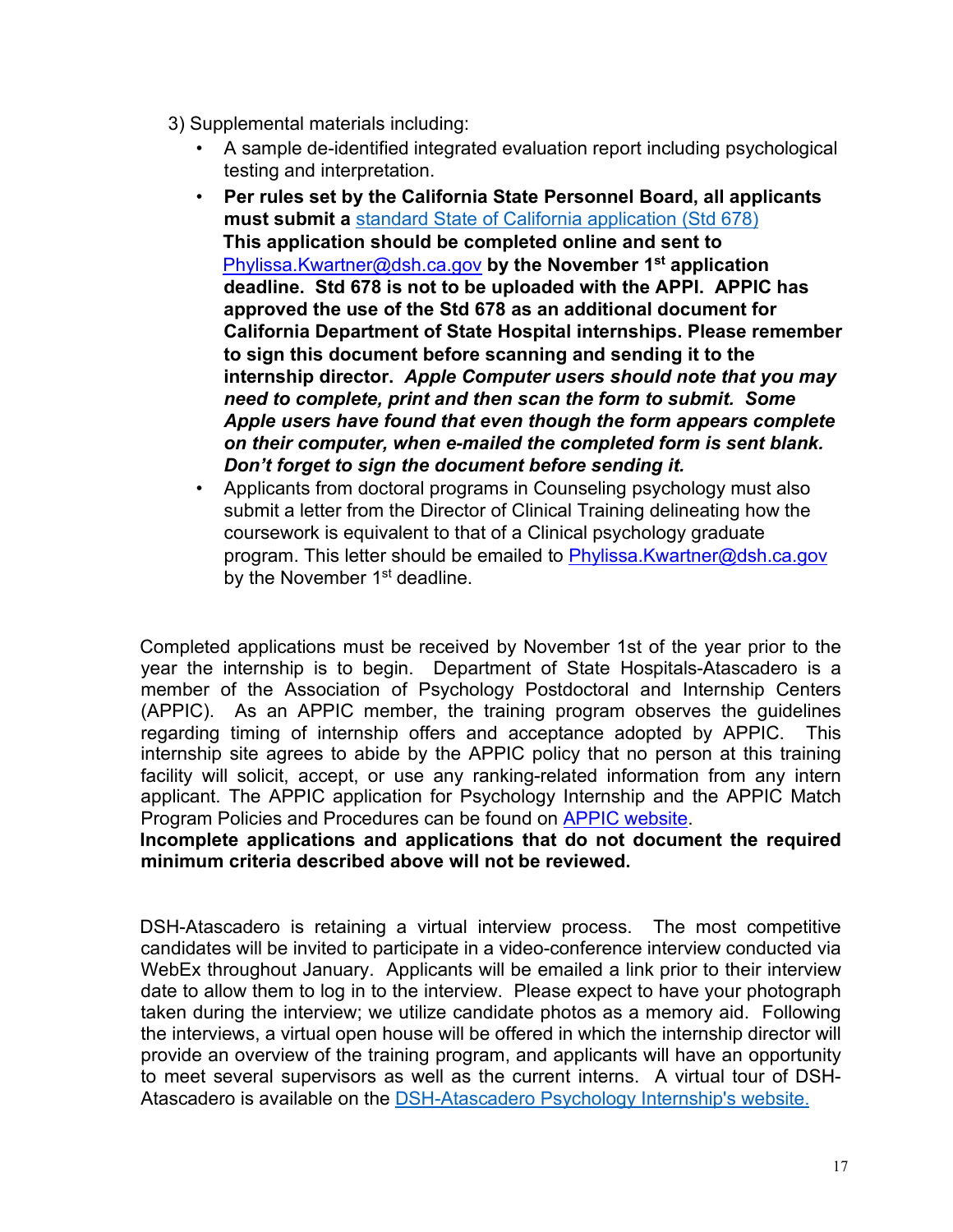- 3) Supplemental materials including:
	- A sample de-identified integrated evaluation report including psychological testing and interpretation.
	- **Per rules set by the California State Personnel Board, all applicants must submit a** standard State of California application (Std 678) **This application should be completed online and sent to** Phylissa.Kwartner@dsh.ca.gov **by the November 1st application**  [Phylissa.Kwartner@dsh.ca.gov](MailTo:Phylissa.Kwartner@dsh.ca.gov)  deadline. Std 678 is not to be uploaded with the APPI. APPIC has approved the use of the Std 678 as an additional document for California Department of State Hospital internships. Please remember to sign this document before scanning and sending it to the **internship director.** *Apple Computer users should note that you may* may need to complete, print and then scan the form to submit. Some Apple users have found *need to complete, print and then scan the form to submit. Some* Apple users have found that even though the form appears complete *on their computer, when e-mailed the completed form is sent blank. Don't forget to sign the document before sending it.*
	- Applicants from doctoral programs in Counseling psychology must also submit a letter from the Director of Clinical Training delineating how the coursework is equivalent to that of a Clinical psychology graduate coursework is equivalent to that of a Clinical psychology graduate program. This letter should be emailed to <u>[Phylissa.Kwartner@dsh.ca.gov](MailTo:Phylissa.Kwartner@dsh.ca.gov)</u> by the November 1<sup>st</sup> deadline.

Completed applications must be received by November 1st of the year prior to the year the internship is to begin. Department of State Hospitals-Atascadero is a member of the Association of Psychology Postdoctoral and Internship Centers (APPIC). As an APPIC member, the training program observes the guidelines regarding timing of internship offers and acceptance adopted by APPIC. This internship site agrees to abide by the APPIC policy that no person at this training facility will solicit, accept, or use any ranking-related information from any intern applicant. The APPIC application for Psychology Internship and the APPIC Match Program Policies and Procedures can be found on APPIC website.

**Incomplete applications and applications that do not document the required minimum criteria described above will not be reviewed.**

DSH-Atascadero is retaining a virtual interview process. The most competitive candidates will be invited to participate in a video-conference interview conducted via WebEx throughout January. Applicants will be emailed a link prior to their interview date to allow them to log in to the interview. Please expect to have your photograph taken during the interview; we utilize candidate photos as a memory aid. Following the interviews, a virtual open house will be offered in which the internship director will provide an overview of the training program, and applicants will have an opportunity to meet several supervisors as well as the current interns. A virtual tour of DSH-Atascadero is available on the DSH-Atascadero Psychology Internship's website.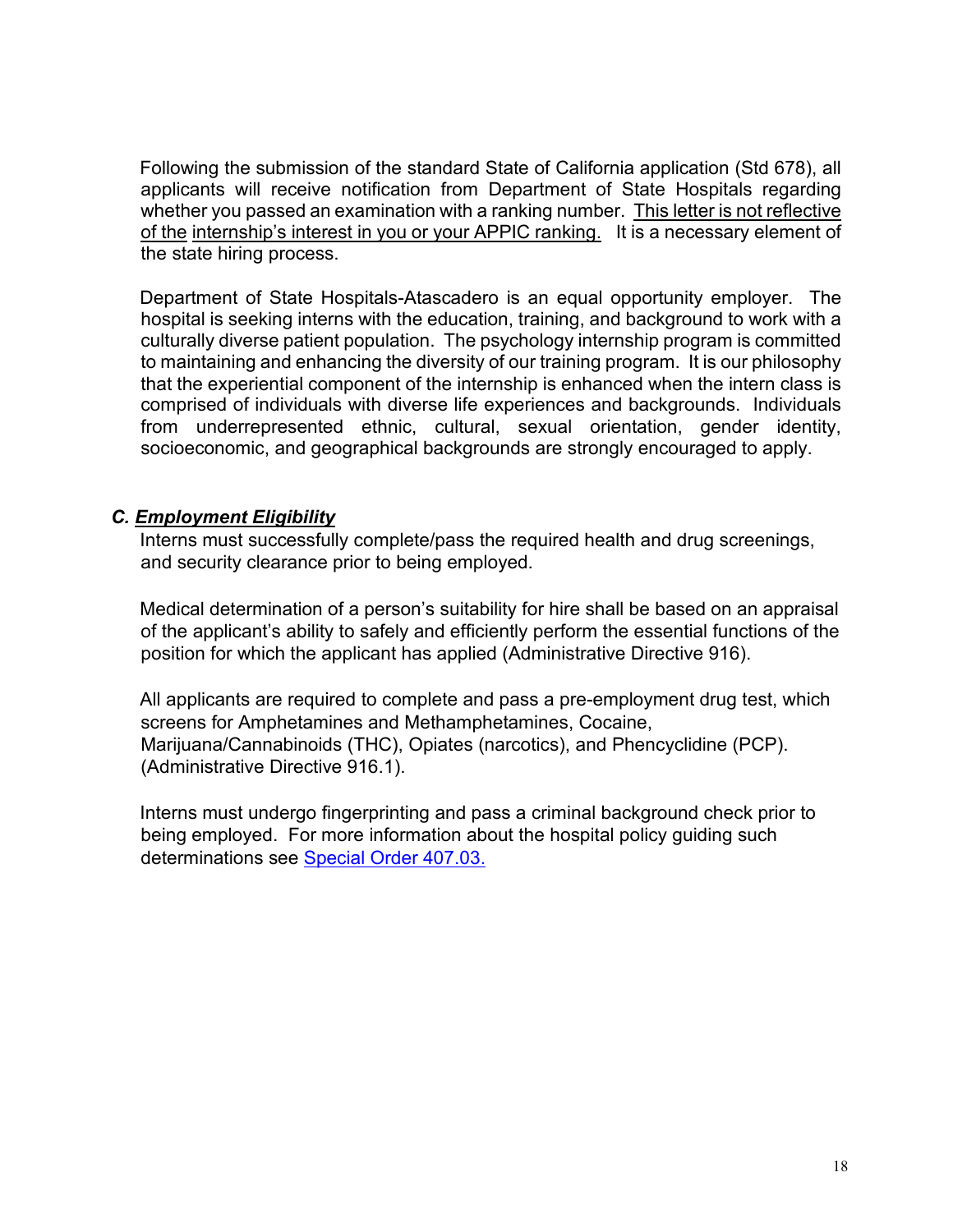Following the submission of the standard State of California application (Std 678), all applicants will receive notification from Department of State Hospitals regarding whether you passed an examination with a ranking number. This letter is not reflective of the internship's interest in you or your APPIC ranking. It is a necessary element of the state hiring process.

Department of State Hospitals-Atascadero is an equal opportunity employer. The hospital is seeking interns with the education, training, and background to work with a culturally diverse patient population. The psychology internship program is committed to maintaining and enhancing the diversity of our training program. It is our philosophy that the experiential component of the internship is enhanced when the intern class is comprised of individuals with diverse life experiences and backgrounds. Individuals from underrepresented ethnic, cultural, sexual orientation, gender identity, socioeconomic, and geographical backgrounds are strongly encouraged to apply.

#### *C. Employment Eligibility*

Interns must successfully complete/pass the required health and drug screenings, and security clearance prior to being employed.

Medical determination of a person's suitability for hire shall be based on an appraisal of the applicant's ability to safely and efficiently perform the essential functions of the position for which the applicant has applied (Administrative Directive 916).

All applicants are required to complete and pass a pre-employment drug test, which screens for Amphetamines and Methamphetamines, Cocaine, Marijuana/Cannabinoids (THC), Opiates (narcotics), and Phencyclidine (PCP). (Administrative Directive 916.1).

Interns must undergo fingerprinting and pass a criminal background check prior to being employed. For more information about the hospital policy guiding such determinations see Special Order 407.03.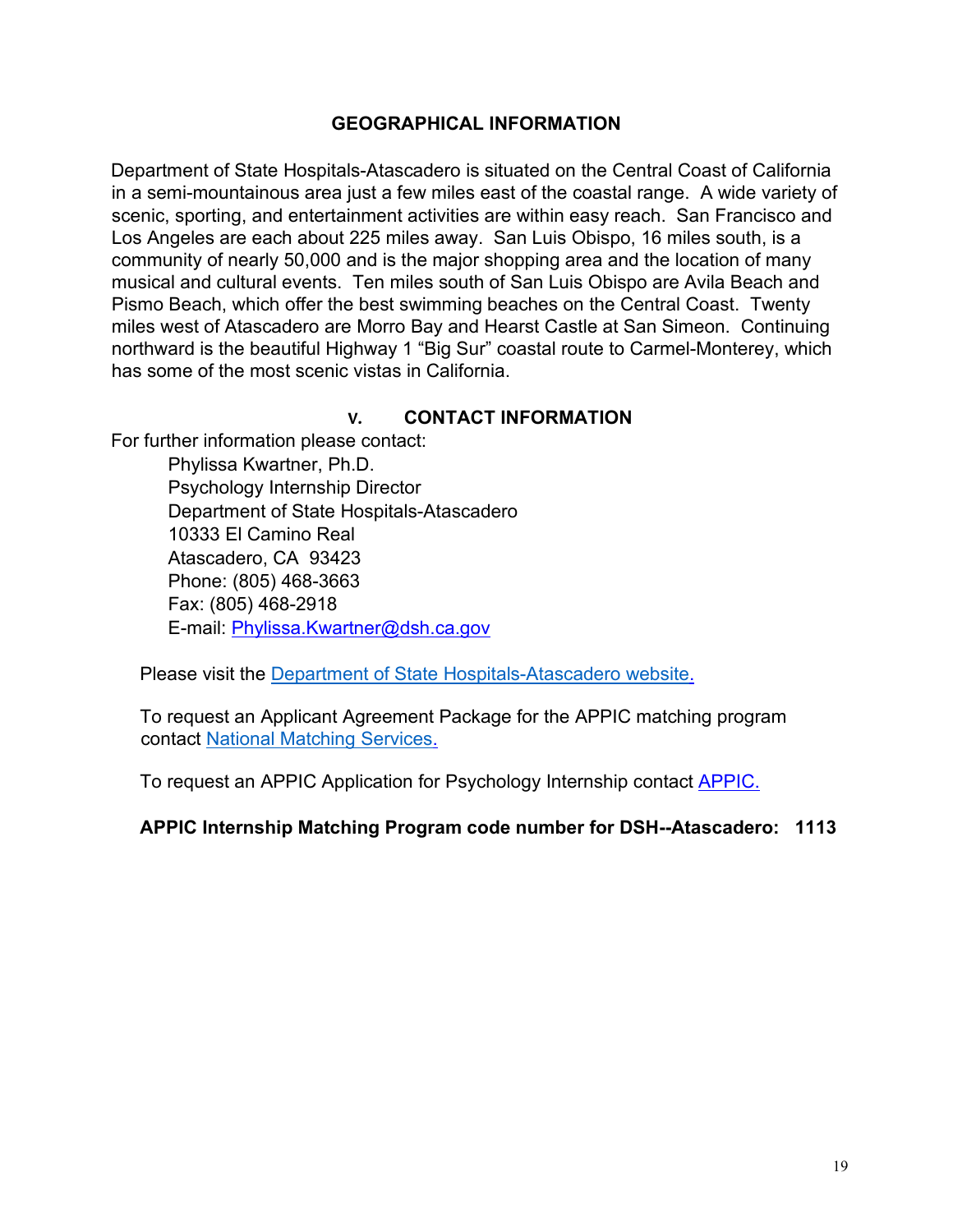#### **GEOGRAPHICAL INFORMATION**

Department of State Hospitals-Atascadero is situated on the Central Coast of California in a semi-mountainous area just a few miles east of the coastal range. A wide variety of scenic, sporting, and entertainment activities are within easy reach. San Francisco and Los Angeles are each about 225 miles away. San Luis Obispo, 16 miles south, is a community of nearly 50,000 and is the major shopping area and the location of many musical and cultural events. Ten miles south of San Luis Obispo are Avila Beach and Pismo Beach, which offer the best swimming beaches on the Central Coast. Twenty miles west of Atascadero are Morro Bay and Hearst Castle at San Simeon. Continuing northward is the beautiful Highway 1 "Big Sur" coastal route to Carmel-Monterey, which has some of the most scenic vistas in California.

#### **V. CONTACT INFORMATION**

For further information please contact:

Phylissa Kwartner, Ph.D. Psychology Internship Director Department of State Hospitals-Atascadero 10333 El Camino Real Atascadero, CA 93423 Phone: (805) 468-3663 Fax: (805) 468-2918 E-mail: <u>[Phylissa.Kwartner@dsh.ca.gov](MailTo:Phylissa.Kwartner@dsh.ca.gov)</u>

Please visit the Department of State Hospitals-Atascadero website.

To request an Applicant Agreement Package for the APPIC matching program contact National Matching Services.

To request an APPIC Application for Psychology Internship contact APPIC.

**APPIC Internship Matching Program code number for DSH--Atascadero: 1113**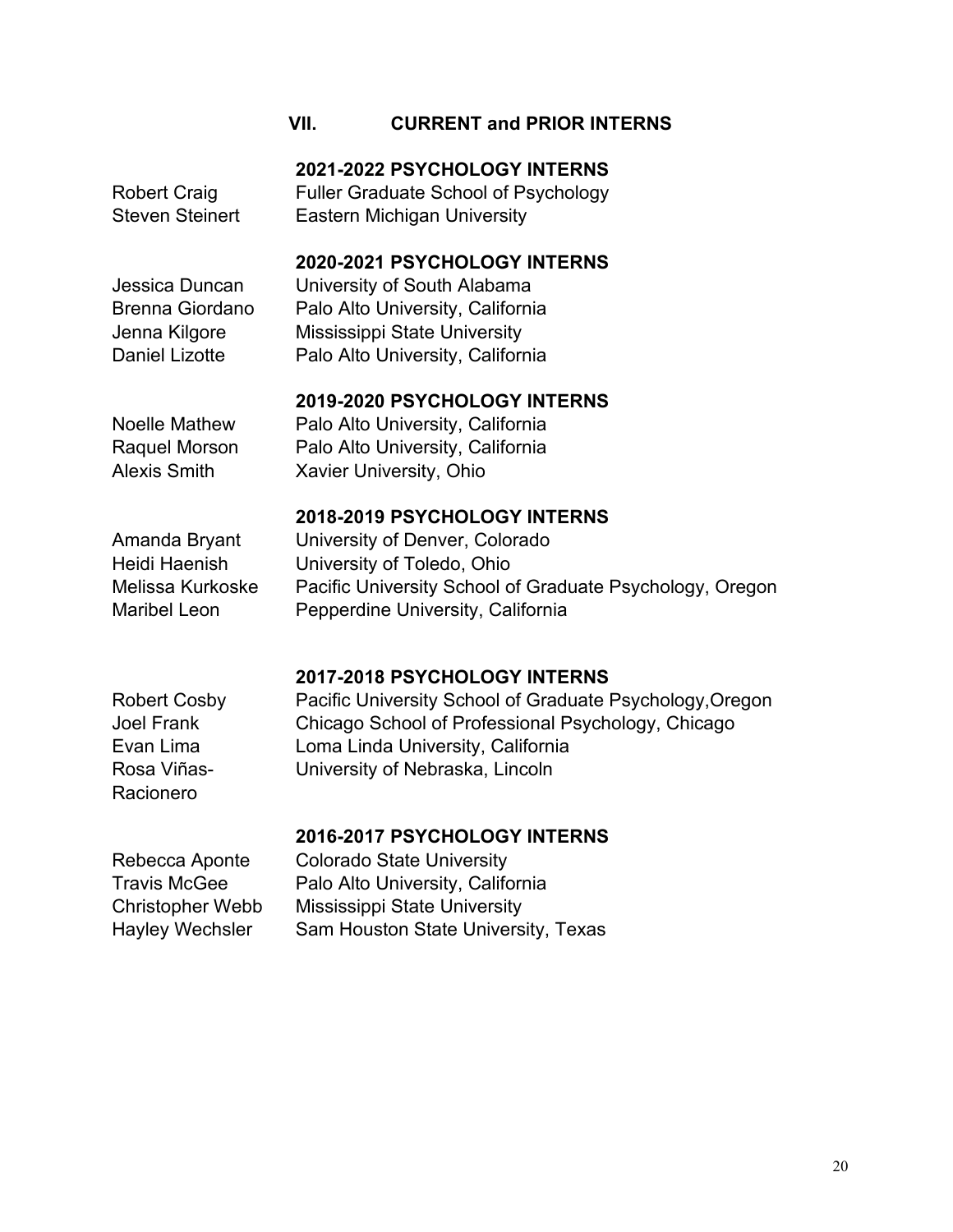#### **VII. CURRENT and PRIOR INTERNS**

**2021-2022 PSYCHOLOGY INTERNS**

Fuller Graduate School of Psychology Eastern Michigan University

Jessica Duncan Brenna Giordano Jenna Kilgore Daniel Lizotte

Robert Craig Steven Steinert

# **2020-2021 PSYCHOLOGY INTERNS**

University of South Alabama Palo Alto University, California Mississippi State University Palo Alto University, California

#### **2019-2020 PSYCHOLOGY INTERNS**

Noelle Mathew Raquel Morson Alexis Smith

Palo Alto University, California Palo Alto University, California Xavier University, Ohio

#### **2018-2019 PSYCHOLOGY INTERNS**

Amanda Bryant

University of Denver, Colorado Heidi Haenish University of Toledo, Ohio Melissa Kurkoske Pacific University School of Graduate Psychology, Oregon Maribel Leon Pepperdine University, California

#### **2017-2018 PSYCHOLOGY INTERNS**

Rosa Viñas-Racionero

Robert Cosby Pacific University School of Graduate Psychology,Oregon Joel Frank Chicago School of Professional Psychology, Chicago Evan Lima Loma Linda University, California University of Nebraska, Lincoln

#### **2016-2017 PSYCHOLOGY INTERNS**

Rebecca Aponte Colorado State University Travis McGee Palo Alto University, California Christopher Webb Mississippi State University Hayley Wechsler Sam Houston State University, Texas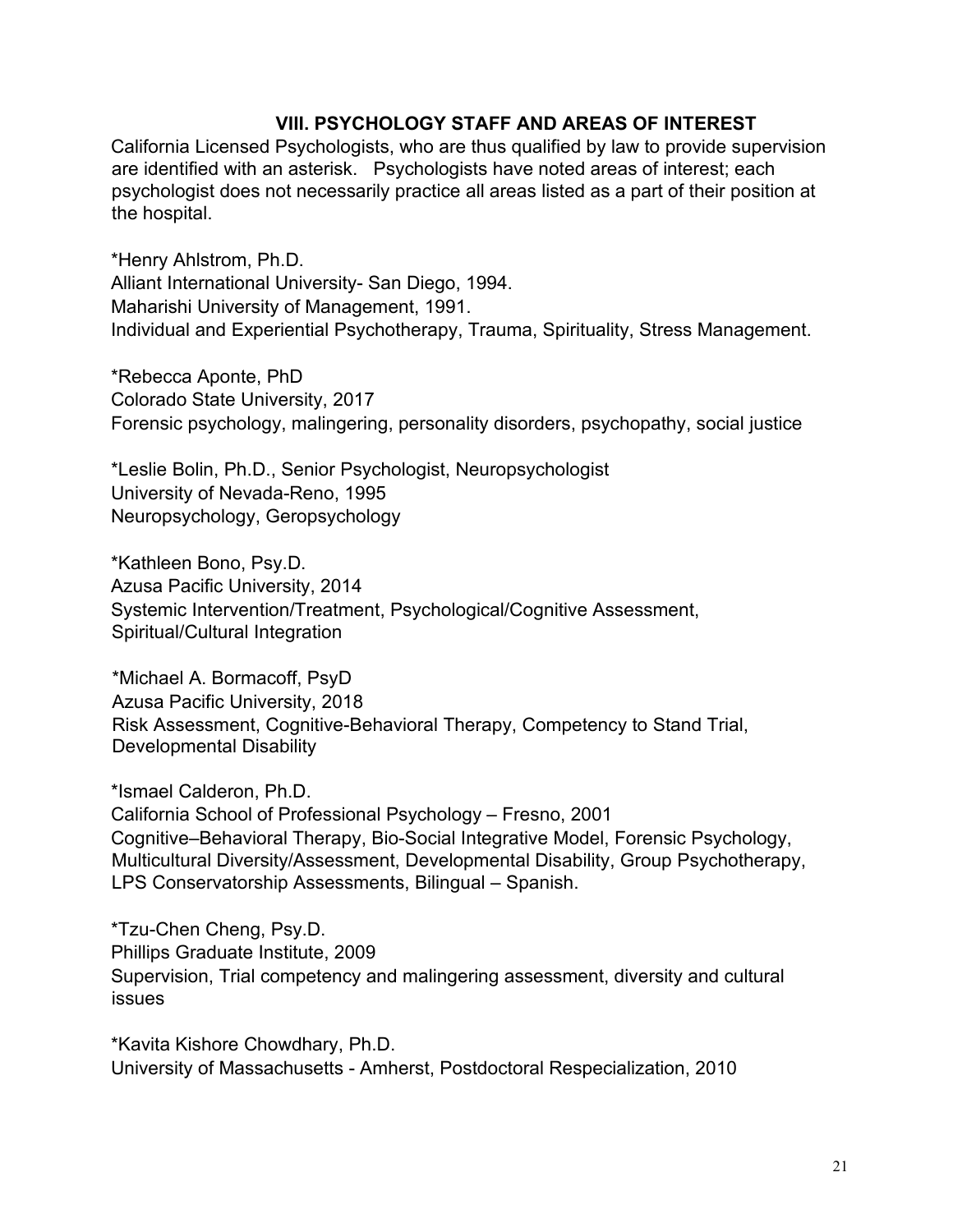#### **VIII. PSYCHOLOGY STAFF AND AREAS OF INTEREST**

California Licensed Psychologists, who are thus qualified by law to provide supervision are identified with an asterisk. Psychologists have noted areas of interest; each psychologist does not necessarily practice all areas listed as a part of their position at the hospital.

\*Henry Ahlstrom, Ph.D. Alliant International University- San Diego, 1994. Maharishi University of Management, 1991. Individual and Experiential Psychotherapy, Trauma, Spirituality, Stress Management.

\*Rebecca Aponte, PhD Colorado State University, 2017 Forensic psychology, malingering, personality disorders, psychopathy, social justice

\*Leslie Bolin, Ph.D., Senior Psychologist, Neuropsychologist University of Nevada-Reno, 1995 Neuropsychology, Geropsychology

\*Kathleen Bono, Psy.D. Azusa Pacific University, 2014 Systemic Intervention/Treatment, Psychological/Cognitive Assessment, Spiritual/Cultural Integration

\*Michael A. Bormacoff, PsyD Azusa Pacific University, 2018 Risk Assessment, Cognitive-Behavioral Therapy, Competency to Stand Trial, Developmental Disability

\*Ismael Calderon, Ph.D. California School of Professional Psychology – Fresno, 2001 Cognitive–Behavioral Therapy, Bio-Social Integrative Model, Forensic Psychology, Multicultural Diversity/Assessment, Developmental Disability, Group Psychotherapy, LPS Conservatorship Assessments, Bilingual – Spanish.

\*Tzu-Chen Cheng, Psy.D. Phillips Graduate Institute, 2009 Supervision, Trial competency and malingering assessment, diversity and cultural issues

\*Kavita Kishore Chowdhary, Ph.D. University of Massachusetts - Amherst, Postdoctoral Respecialization, 2010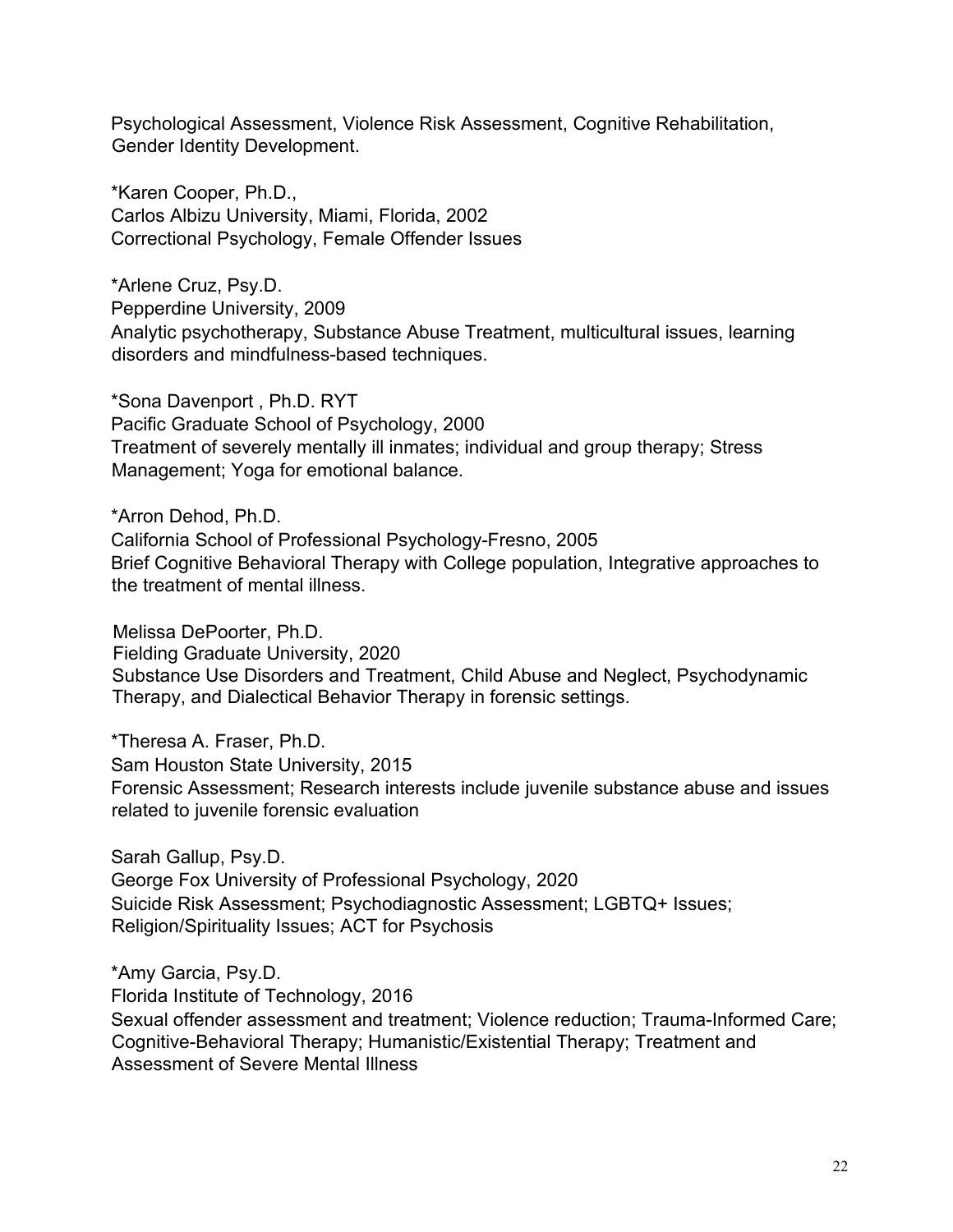Psychological Assessment, Violence Risk Assessment, Cognitive Rehabilitation, Gender Identity Development.

\*Karen Cooper, Ph.D., Carlos Albizu University, Miami, Florida, 2002 Correctional Psychology, Female Offender Issues

\*Arlene Cruz, Psy.D. Pepperdine University, 2009 Analytic psychotherapy, Substance Abuse Treatment, multicultural issues, learning disorders and mindfulness-based techniques.

\*Sona Davenport , Ph.D. RYT Pacific Graduate School of Psychology, 2000 Treatment of severely mentally ill inmates; individual and group therapy; Stress Management; Yoga for emotional balance.

\*Arron Dehod, Ph.D. California School of Professional Psychology-Fresno, 2005 Brief Cognitive Behavioral Therapy with College population, Integrative approaches to the treatment of mental illness.

Melissa DePoorter, Ph.D. Fielding Graduate University, 2020 Substance Use Disorders and Treatment, Child Abuse and Neglect, Psychodynamic Therapy, and Dialectical Behavior Therapy in forensic settings.

\*Theresa A. Fraser, Ph.D. Sam Houston State University, 2015 Forensic Assessment; Research interests include juvenile substance abuse and issues related to juvenile forensic evaluation

Sarah Gallup, Psy.D. George Fox University of Professional Psychology, 2020 Suicide Risk Assessment; Psychodiagnostic Assessment; LGBTQ+ Issues; Religion/Spirituality Issues; ACT for Psychosis

\*Amy Garcia, Psy.D. Florida Institute of Technology, 2016 Sexual offender assessment and treatment; Violence reduction; Trauma-Informed Care; Cognitive-Behavioral Therapy; Humanistic/Existential Therapy; Treatment and Assessment of Severe Mental Illness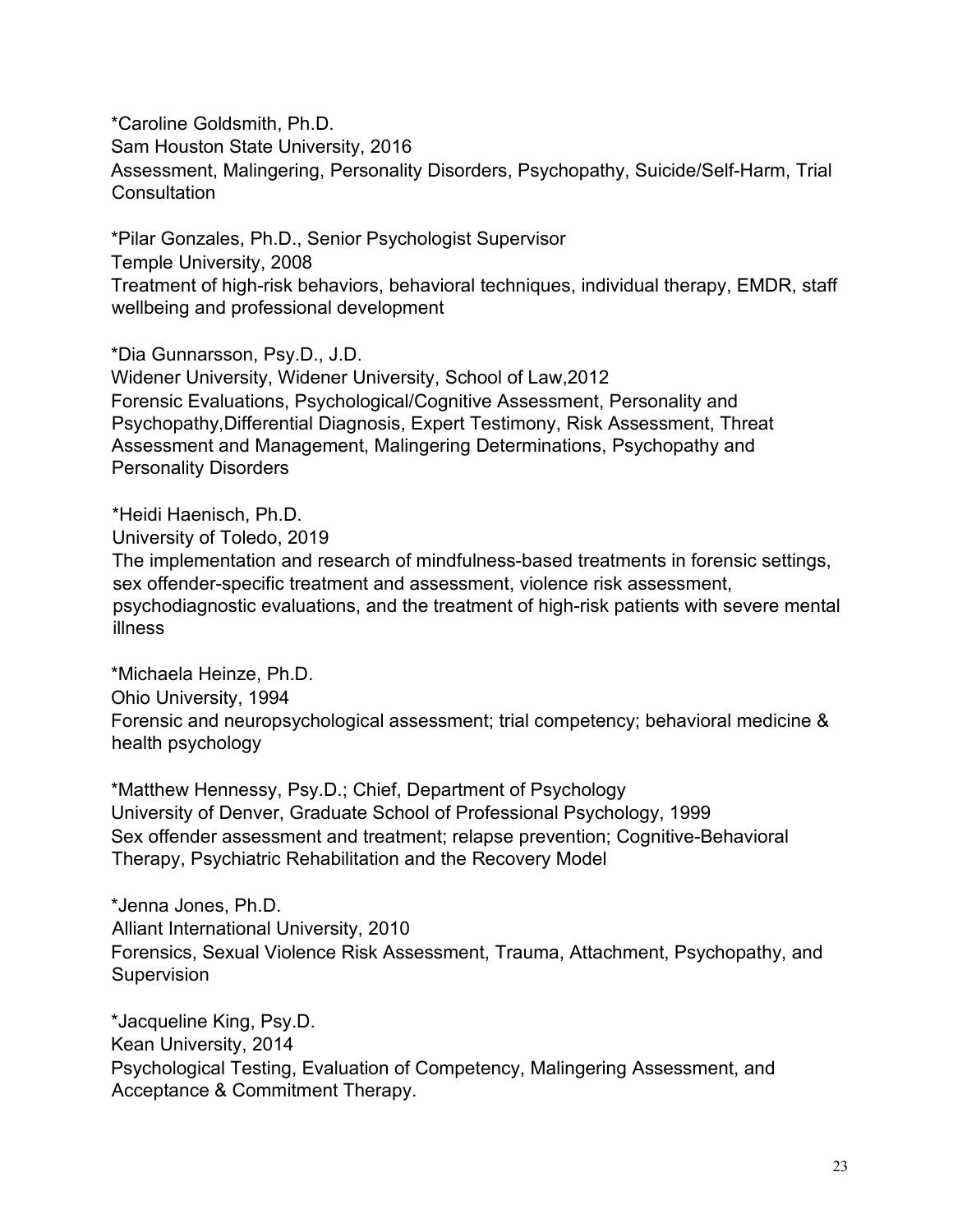\*Caroline Goldsmith, Ph.D. Sam Houston State University, 2016 Assessment, Malingering, Personality Disorders, Psychopathy, Suicide/Self-Harm, Trial **Consultation** 

\*Pilar Gonzales, Ph.D., Senior Psychologist Supervisor Temple University, 2008 Treatment of high-risk behaviors, behavioral techniques, individual therapy, EMDR, staff wellbeing and professional development

\*Dia Gunnarsson, Psy.D., J.D. Widener University, Widener University, School of Law,2012 Forensic Evaluations, Psychological/Cognitive Assessment, Personality and Psychopathy,Differential Diagnosis, Expert Testimony, Risk Assessment, Threat Assessment and Management, Malingering Determinations, Psychopathy and Personality Disorders

\*Heidi Haenisch, Ph.D. University of Toledo, 2019 The implementation and research of mindfulness-based treatments in forensic settings, sex offender-specific treatment and assessment, violence risk assessment, psychodiagnostic evaluations, and the treatment of high-risk patients with severe mental illness

\*Michaela Heinze, Ph.D. Ohio University, 1994 Forensic and neuropsychological assessment; trial competency; behavioral medicine & health psychology

\*Matthew Hennessy, Psy.D.; Chief, Department of Psychology University of Denver, Graduate School of Professional Psychology, 1999 Sex offender assessment and treatment; relapse prevention; Cognitive-Behavioral Therapy, Psychiatric Rehabilitation and the Recovery Model

\*Jenna Jones, Ph.D. Alliant International University, 2010 Forensics, Sexual Violence Risk Assessment, Trauma, Attachment, Psychopathy, and Supervision

\*Jacqueline King, Psy.D. Kean University, 2014 Psychological Testing, Evaluation of Competency, Malingering Assessment, and Acceptance & Commitment Therapy.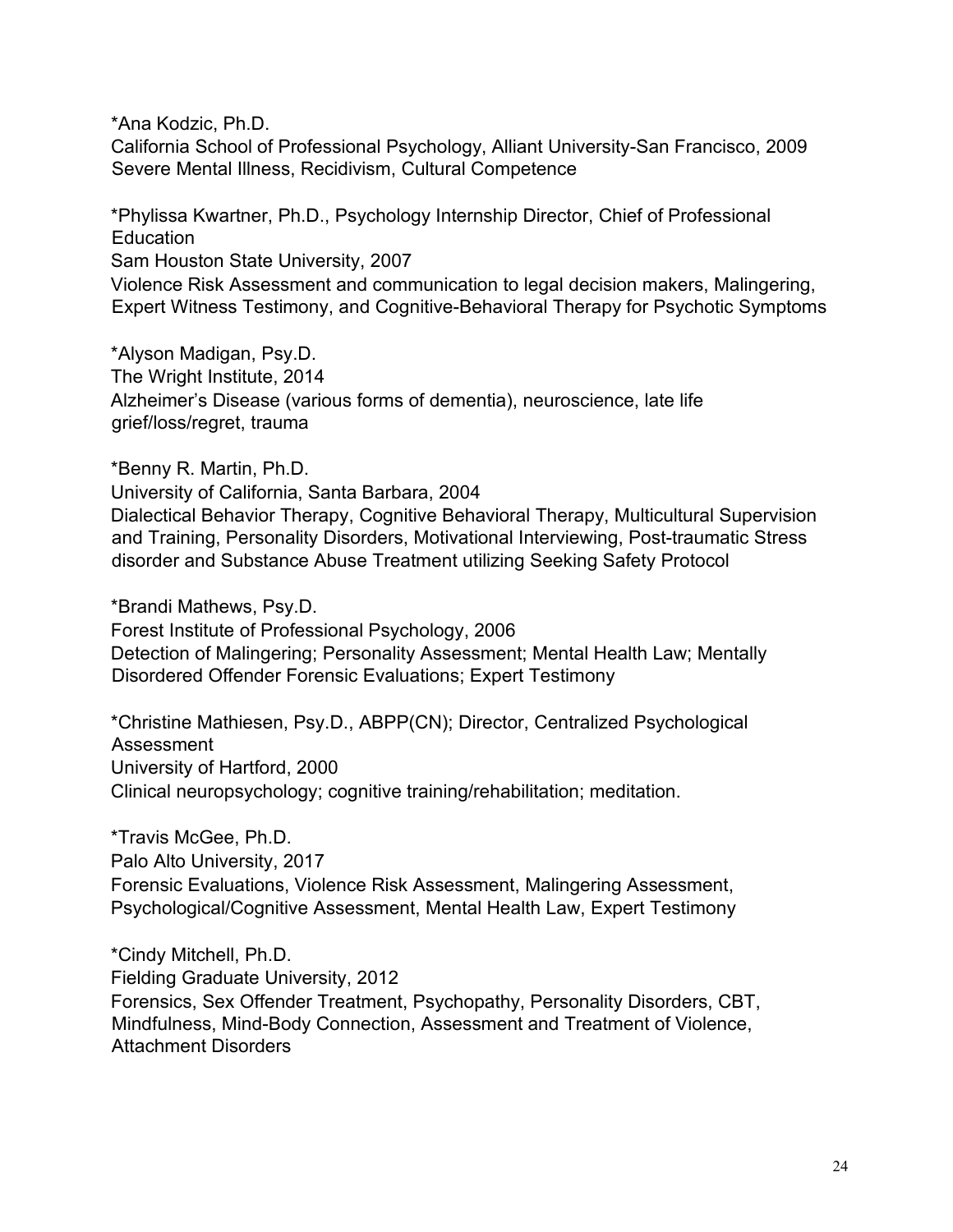\*Ana Kodzic, Ph.D.

California School of Professional Psychology, Alliant University-San Francisco, 2009 Severe Mental Illness, Recidivism, Cultural Competence

\*Phylissa Kwartner, Ph.D., Psychology Internship Director, Chief of Professional **Education** Sam Houston State University, 2007 Violence Risk Assessment and communication to legal decision makers, Malingering, Expert Witness Testimony, and Cognitive-Behavioral Therapy for Psychotic Symptoms

\*Alyson Madigan, Psy.D. The Wright Institute, 2014 Alzheimer's Disease (various forms of dementia), neuroscience, late life grief/loss/regret, trauma

\*Benny R. Martin, Ph.D.

University of California, Santa Barbara, 2004 Dialectical Behavior Therapy, Cognitive Behavioral Therapy, Multicultural Supervision and Training, Personality Disorders, Motivational Interviewing, Post-traumatic Stress disorder and Substance Abuse Treatment utilizing Seeking Safety Protocol

\*Brandi Mathews, Psy.D.

Forest Institute of Professional Psychology, 2006 Detection of Malingering; Personality Assessment; Mental Health Law; Mentally Disordered Offender Forensic Evaluations; Expert Testimony

\*Christine Mathiesen, Psy.D., ABPP(CN); Director, Centralized Psychological Assessment University of Hartford, 2000 Clinical neuropsychology; cognitive training/rehabilitation; meditation.

\*Travis McGee, Ph.D. Palo Alto University, 2017 Forensic Evaluations, Violence Risk Assessment, Malingering Assessment, Psychological/Cognitive Assessment, Mental Health Law, Expert Testimony

\*Cindy Mitchell, Ph.D. Fielding Graduate University, 2012 Forensics, Sex Offender Treatment, Psychopathy, Personality Disorders, CBT, Mindfulness, Mind-Body Connection, Assessment and Treatment of Violence, Attachment Disorders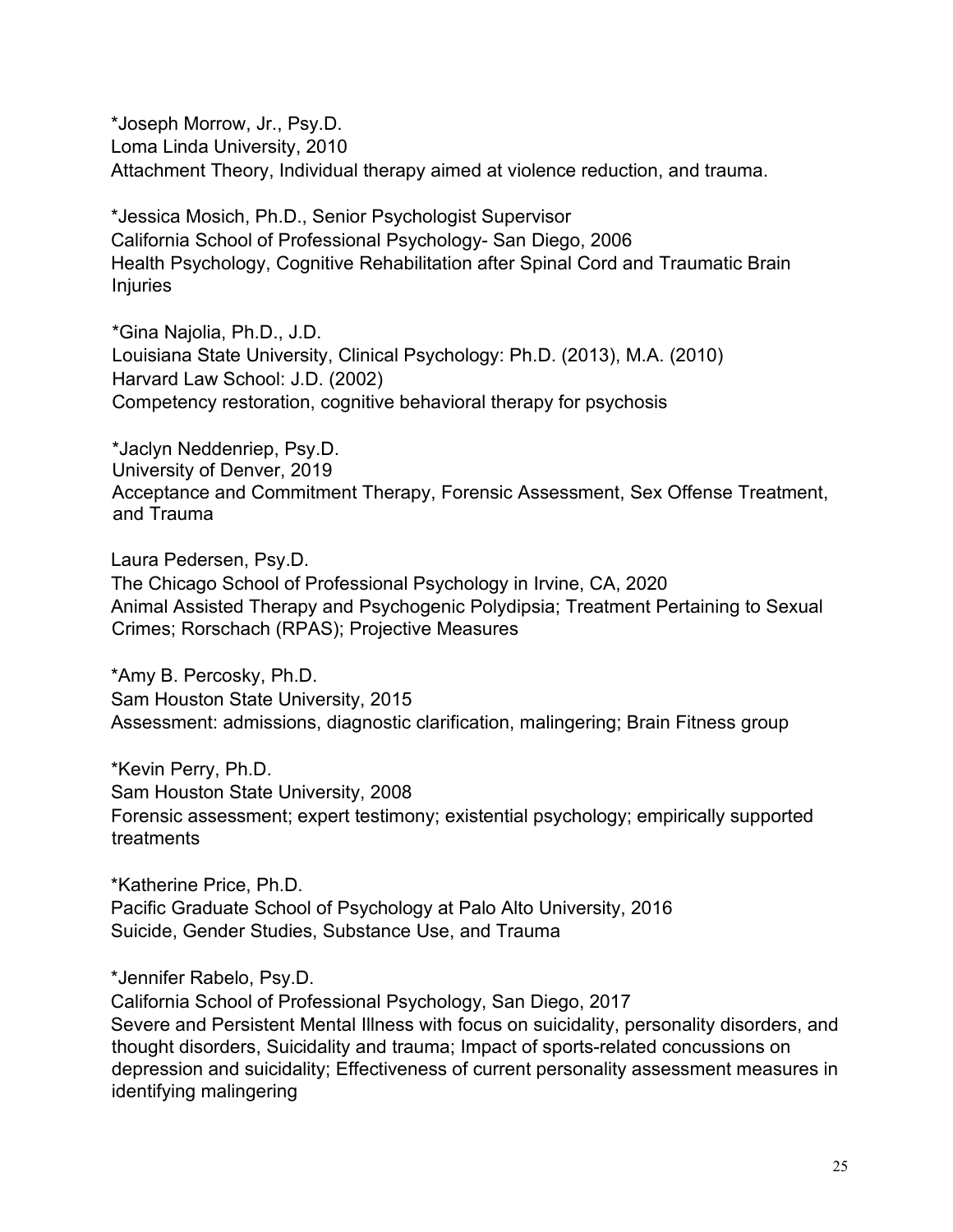\*Joseph Morrow, Jr., Psy.D. Loma Linda University, 2010 Attachment Theory, Individual therapy aimed at violence reduction, and trauma.

\*Jessica Mosich, Ph.D., Senior Psychologist Supervisor California School of Professional Psychology- San Diego, 2006 Health Psychology, Cognitive Rehabilitation after Spinal Cord and Traumatic Brain Injuries

\*Gina Najolia, Ph.D., J.D. Louisiana State University, Clinical Psychology: Ph.D. (2013), M.A. (2010) Harvard Law School: J.D. (2002) Competency restoration, cognitive behavioral therapy for psychosis

\*Jaclyn Neddenriep, Psy.D. University of Denver, 2019 Acceptance and Commitment Therapy, Forensic Assessment, Sex Offense Treatment, and Trauma

Laura Pedersen, Psy.D. The Chicago School of Professional Psychology in Irvine, CA, 2020 Animal Assisted Therapy and Psychogenic Polydipsia; Treatment Pertaining to Sexual Crimes; Rorschach (RPAS); Projective Measures

\*Amy B. Percosky, Ph.D. Sam Houston State University, 2015 Assessment: admissions, diagnostic clarification, malingering; Brain Fitness group

\*Kevin Perry, Ph.D. Sam Houston State University, 2008 Forensic assessment; expert testimony; existential psychology; empirically supported treatments

\*Katherine Price, Ph.D. Pacific Graduate School of Psychology at Palo Alto University, 2016 Suicide, Gender Studies, Substance Use, and Trauma

\*Jennifer Rabelo, Psy.D.

California School of Professional Psychology, San Diego, 2017 Severe and Persistent Mental Illness with focus on suicidality, personality disorders, and thought disorders, Suicidality and trauma; Impact of sports-related concussions on depression and suicidality; Effectiveness of current personality assessment measures in identifying malingering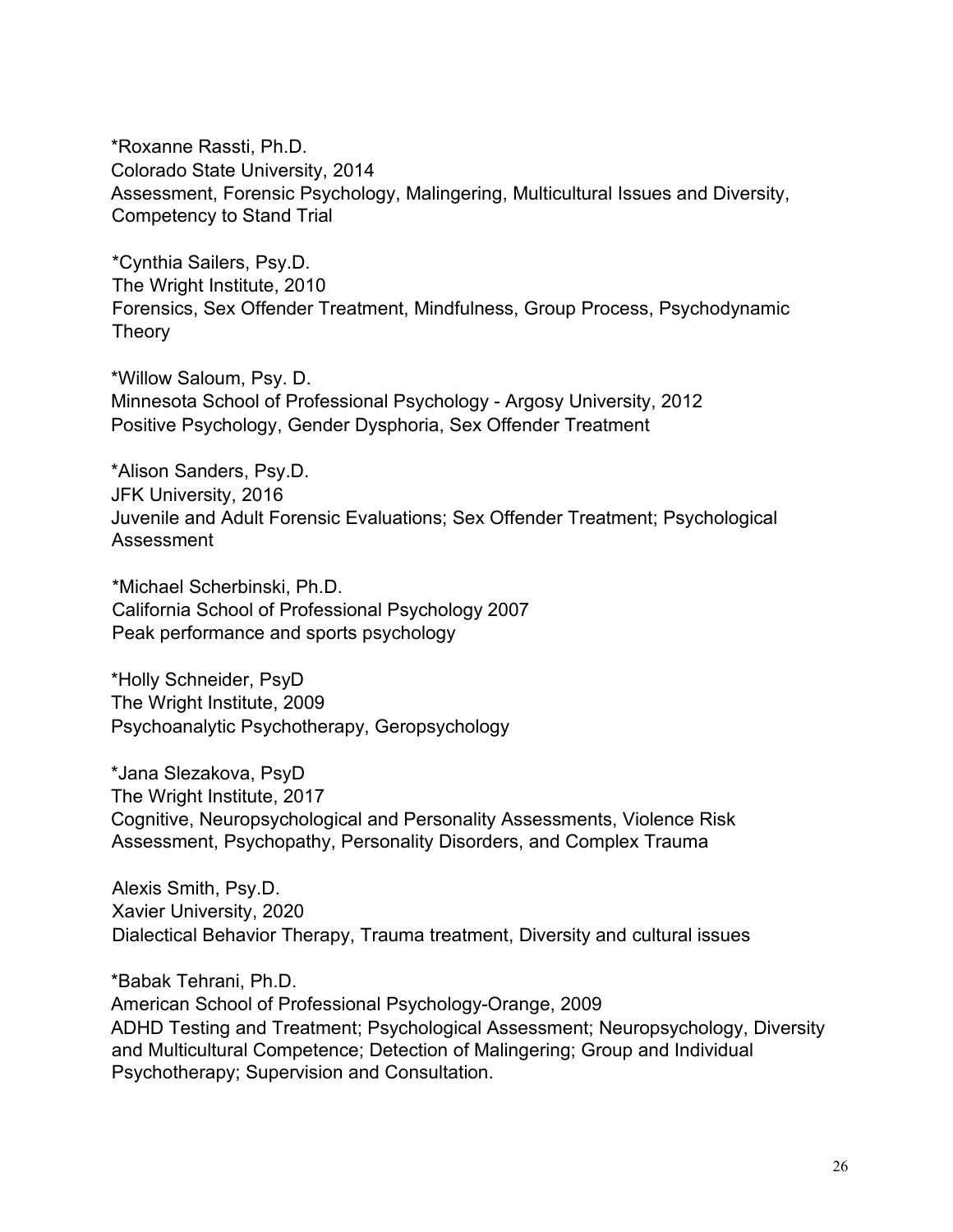\*Roxanne Rassti, Ph.D. Colorado State University, 2014 Assessment, Forensic Psychology, Malingering, Multicultural Issues and Diversity, Competency to Stand Trial

\*Cynthia Sailers, Psy.D. The Wright Institute, 2010 Forensics, Sex Offender Treatment, Mindfulness, Group Process, Psychodynamic **Theory** 

\*Willow Saloum, Psy. D. Minnesota School of Professional Psychology - Argosy University, 2012 Positive Psychology, Gender Dysphoria, Sex Offender Treatment

\*Alison Sanders, Psy.D. JFK University, 2016 Juvenile and Adult Forensic Evaluations; Sex Offender Treatment; Psychological Assessment

\*Michael Scherbinski, Ph.D. California School of Professional Psychology 2007 Peak performance and sports psychology

\*Holly Schneider, PsyD The Wright Institute, 2009 Psychoanalytic Psychotherapy, Geropsychology

\*Jana Slezakova, PsyD The Wright Institute, 2017 Cognitive, Neuropsychological and Personality Assessments, Violence Risk Assessment, Psychopathy, Personality Disorders, and Complex Trauma

Alexis Smith, Psy.D. Xavier University, 2020 Dialectical Behavior Therapy, Trauma treatment, Diversity and cultural issues

\*Babak Tehrani, Ph.D. American School of Professional Psychology-Orange, 2009 ADHD Testing and Treatment; Psychological Assessment; Neuropsychology, Diversity and Multicultural Competence; Detection of Malingering; Group and Individual Psychotherapy; Supervision and Consultation.